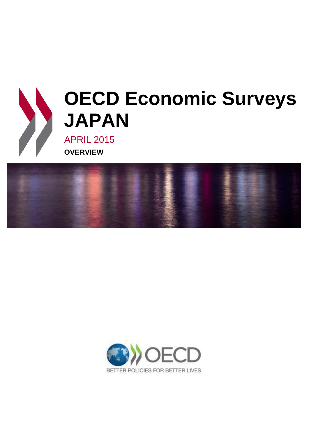

# **OECD Economic Surveys JAPAN**

APRIL 2015 **OVERVIEW**



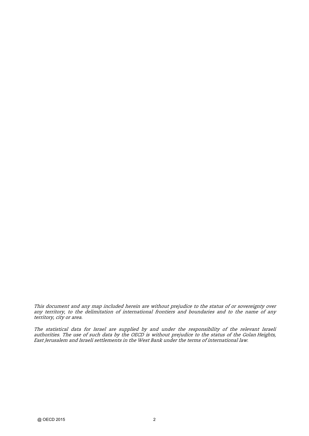This document and any map included herein are without prejudice to the status of or sovereignty over any territory, to the delimitation of international frontiers and boundaries and to the name of any territory, city or area.

The statistical data for Israel are supplied by and under the responsibility of the relevant Israeli authorities. The use of such data by the OECD is without prejudice to the status of the Golan Heights, East Jerusalem and Israeli settlements in the West Bank under the terms of international law.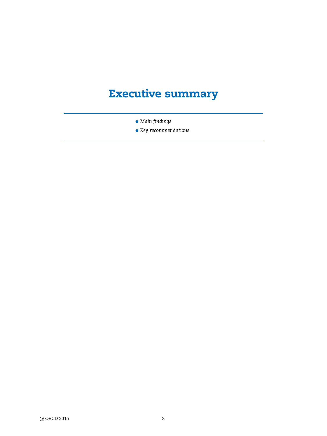## **Executive summary**

- *Main findings*
- *Key recommendations*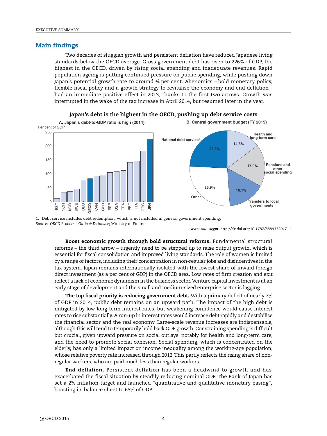#### **Main findings**

Two decades of sluggish growth and persistent deflation have reduced Japanese living standards below the OECD average. Gross government debt has risen to 226% of GDP, the highest in the OECD, driven by rising social spending and inadequate revenues. Rapid population ageing is putting continued pressure on public spending, while pushing down Japan's potential growth rate to around ¾ per cent. Abenomics – bold monetary policy, flexible fiscal policy and a growth strategy to revitalise the economy and end deflation – had an immediate positive effect in 2013, thanks to the first two arrows. Growth was interrupted in the wake of the tax increase in April 2014, but resumed later in the year.





1. Debt service includes debt redemption, which is not included in general government spending. *Source: OECD Economic Outlook Database*; Ministry of Finance.

1 2 *http://dx.doi.org/10.1787/888933201711*

**Boost economic growth through bold structural reforms.** Fundamental structural reforms – the third arrow – urgently need to be stepped up to raise output growth, which is essential for fiscal consolidation and improved living standards. The role of women is limited by a range of factors, including their concentration in non-regular jobs and disincentives in the tax system. Japan remains internationally isolated with the lowest share of inward foreign direct investment (as a per cent of GDP) in the OECD area. Low rates of firm creation and exit reflect a lack of economic dynamism in the business sector. Venture capital investment is at an early stage of development and the small and medium-sized enterprise sector is lagging.

**The top fiscal priority is reducing government debt.** With a primary deficit of nearly 7% of GDP in 2014, public debt remains on an upward path. The impact of the high debt is mitigated by low long-term interest rates, but weakening confidence would cause interest rates to rise substantially. A run-up in interest rates would increase debt rapidly and destabilise the financial sector and the real economy. Large-scale revenue increases are indispensable, although this will tend to temporarily hold back GDP growth. Constraining spending is difficult but crucial, given upward pressure on social outlays, notably for health and long-term care, and the need to promote social cohesion. Social spending, which is concentrated on the elderly, has only a limited impact on income inequality among the working-age population, whose relative poverty rate increased through 2012.This partly reflects the rising share of nonregular workers, who are paid much less than regular workers.

**End deflation.** Persistent deflation has been a headwind to growth and has exacerbated the fiscal situation by steadily reducing nominal GDP. The Bank of Japan has set a 2% inflation target and launched "quantitative and qualitative monetary easing", boosting its balance sheet to 65% of GDP.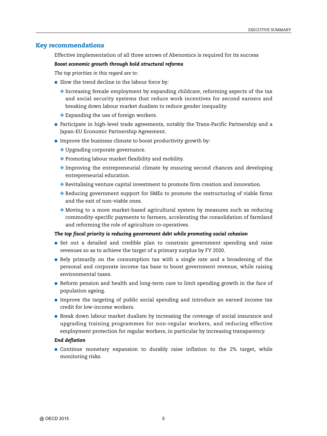#### **Key recommendations**

Effective implementation of all three arrows of Abenomics is required for its success

#### *Boost economic growth through bold structural reforms*

*The top priorities in this regard are to:*

- Slow the trend decline in the labour force by:
	- $\bullet$  Increasing female employment by expanding childcare, reforming aspects of the tax and social security systems that reduce work incentives for second earners and breaking down labour market dualism to reduce gender inequality.
	- ❖ Expanding the use of foreign workers.
- Participate in high-level trade agreements, notably the Trans-Pacific Partnership and a Japan-EU Economic Partnership Agreement.
- Improve the business climate to boost productivity growth by:
	- ❖ Upgrading corporate governance.
	- ❖ Promoting labour market flexibility and mobility.
	- $\triangle$  Improving the entrepreneurial climate by ensuring second chances and developing entrepreneurial education.
	- ❖ Revitalising venture capital investment to promote firm creation and innovation.
	- ❖ Reducing government support for SMEs to promote the restructuring of viable firms and the exit of non-viable ones.
	- ❖ Moving to a more market-based agricultural system by measures such as reducing commodity-specific payments to farmers, accelerating the consolidation of farmland and reforming the role of agriculture co-operatives.

#### *The top fiscal priority is reducing government debt while promoting social cohesion*

- Set out a detailed and credible plan to constrain government spending and raise revenues so as to achieve the target of a primary surplus by FY 2020.
- Rely primarily on the consumption tax with a single rate and a broadening of the personal and corporate income tax base to boost government revenue, while raising environmental taxes.
- Reform pension and health and long-term care to limit spending growth in the face of population ageing.
- Improve the targeting of public social spending and introduce an earned income tax credit for low-income workers.
- Break down labour market dualism by increasing the coverage of social insurance and upgrading training programmes for non-regular workers, and reducing effective employment protection for regular workers, in particular by increasing transparency.

#### *End deflation*

● Continue monetary expansion to durably raise inflation to the 2% target, while monitoring risks.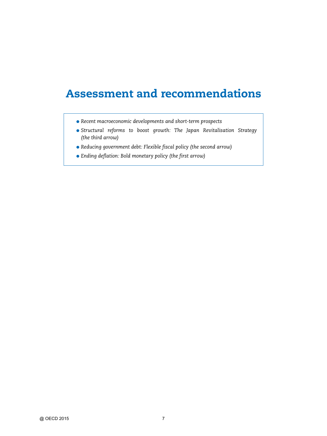### **Assessment and recommendations**

- *Recent macroeconomic developments and short-term prospects*
- *Structural reforms to boost growth: The Japan Revitalisation Strategy (the third arrow)*
- *Reducing government debt: Flexible fiscal policy (the second arrow)*
- *Ending deflation: Bold monetary policy (the first arrow)*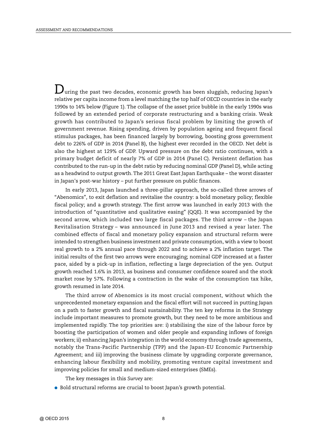$\mathbf D$ uring the past two decades, economic growth has been sluggish, reducing Japan's relative per capita income from a level matching the top half of OECD countries in the early 1990s to 14% below (Figure 1). The collapse of the asset price bubble in the early 1990s was followed by an extended period of corporate restructuring and a banking crisis. Weak growth has contributed to Japan's serious fiscal problem by limiting the growth of government revenue. Rising spending, driven by population ageing and frequent fiscal stimulus packages, has been financed largely by borrowing, boosting gross government debt to 226% of GDP in 2014 (Panel B), the highest ever recorded in the OECD. Net debt is also the highest at 129% of GDP. Upward pressure on the debt ratio continues, with a primary budget deficit of nearly 7% of GDP in 2014 (Panel C). Persistent deflation has contributed to the run-up in the debt ratio by reducing nominal GDP (Panel D), while acting as a headwind to output growth. The 2011 Great East Japan Earthquake – the worst disaster in Japan's post-war history – put further pressure on public finances.

In early 2013, Japan launched a three-pillar approach, the so-called three arrows of "Abenomics", to exit deflation and revitalise the country: a bold monetary policy; flexible fiscal policy; and a growth strategy. The first arrow was launched in early 2013 with the introduction of "quantitative and qualitative easing" (QQE). It was accompanied by the second arrow, which included two large fiscal packages. The third arrow – the Japan Revitalisation Strategy – was announced in June 2013 and revised a year later. The combined effects of fiscal and monetary policy expansion and structural reform were intended to strengthen business investment and private consumption, with a view to boost real growth to a 2% annual pace through 2022 and to achieve a 2% inflation target. The initial results of the first two arrows were encouraging; nominal GDP increased at a faster pace, aided by a pick-up in inflation, reflecting a large depreciation of the yen. Output growth reached 1.6% in 2013, as business and consumer confidence soared and the stock market rose by 57%. Following a contraction in the wake of the consumption tax hike, growth resumed in late 2014.

The third arrow of Abenomics is its most crucial component, without which the unprecedented monetary expansion and the fiscal effort will not succeed in putting Japan on a path to faster growth and fiscal sustainability. The ten key reforms in the Strategy include important measures to promote growth, but they need to be more ambitious and implemented rapidly. The top priorities are: i) stabilising the size of the labour force by boosting the participation of women and older people and expanding inflows of foreign workers; ii) enhancing Japan's integration in the world economy through trade agreements, notably the Trans-Pacific Partnership (TPP) and the Japan-EU Economic Partnership Agreement; and iii) improving the business climate by upgrading corporate governance, enhancing labour flexibility and mobility, promoting venture capital investment and improving policies for small and medium-sized enterprises (SMEs).

The key messages in this *Survey* are:

● Bold structural reforms are crucial to boost Japan's growth potential.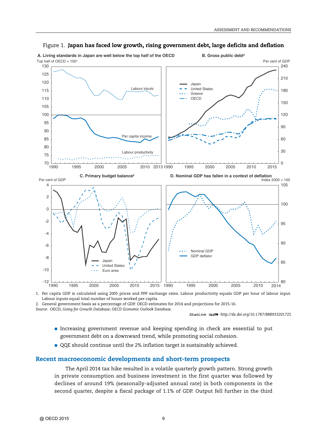

#### Figure 1. **Japan has faced low growth, rising government debt, large deficits and deflation**

Top half of  $OECD = 100^{\circ}$ 

● Increasing government revenue and keeping spending in check are essential to put

1 2 *<http://dx.doi.org/10.1787/888933201725>*

- government debt on a downward trend, while promoting social cohesion.
- QQE should continue until the 2% inflation target is sustainably achieved.

#### **Recent macroeconomic developments and short-term prospects**

2. General government basis as a percentage of GDP. OECD estimates for 2014 and projections for 2015-16.

Labour inputs equal total number of hours worked per capita.

*Source:* OECD, *Going for Growth Database*; *OECD Economic Outlook Database*.

The April 2014 tax hike resulted in a volatile quarterly growth pattern. Strong growth in private consumption and business investment in the first quarter was followed by declines of around 19% (seasonally-adjusted annual rate) in both components in the second quarter, despite a fiscal package of 1.1% of GDP. Output fell further in the third

1. Per capita GDP is calculated using 2005 prices and PPP exchange rates. Labour productivity equals GDP per hour of labour input.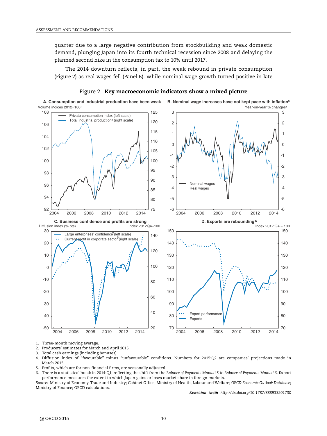quarter due to a large negative contribution from stockbuilding and weak domestic demand, plunging Japan into its fourth technical recession since 2008 and delaying the planned second hike in the consumption tax to 10% until 2017.

The 2014 downturn reflects, in part, the weak rebound in private consumption (Figure 2) as real wages fell (Panel B). While nominal wage growth turned positive in late



Figure 2. **Key macroeconomic indicators show a mixed picture**

1. Three-month moving average.

3. Total cash earnings (including bonuses).

4. Diffusion index of "favourable" minus "unfavourable" conditions. Numbers for 2015:Q2 are companies' projections made in March 2015.

5. Profits, which are for non-financial firms, are seasonally adjusted.

6. There is a statistical break in 2014:Q1, reflecting the shift from the *Balance of Payments Manual 5* to *Balance of Payments Manual 6*. Export performance measures the extent to which Japan gains or loses market share in foreign markets.

*Source:* Ministry of Economy, Trade and Industry; Cabinet Office; Ministry of Health, Labour and Welfare; *OECD Economic Outlook Database*; Ministry of Finance; OECD calculations.

1 2 *<http://dx.doi.org/10.1787/888933201730>*

<sup>2.</sup> Producers' estimates for March and April 2015.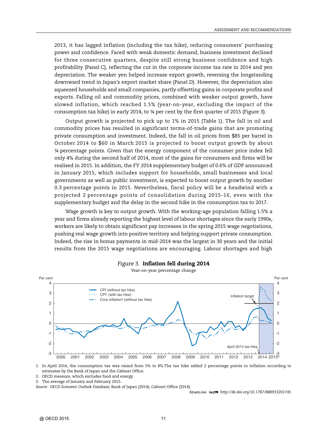2013, it has lagged inflation (including the tax hike), reducing consumers' purchasing power and confidence. Faced with weak domestic demand, business investment declined for three consecutive quarters, despite still strong business confidence and high profitability (Panel C), reflecting the cut in the corporate income tax rate in 2014 and yen depreciation. The weaker yen helped increase export growth, reversing the longstanding downward trend in Japan's export market share (Panel D). However, the depreciation also squeezed households and small companies, partly offsetting gains in corporate profits and exports. Falling oil and commodity prices, combined with weaker output growth, have slowed inflation, which reached 1.5% (year-on-year, excluding the impact of the consumption tax hike) in early 2014, to ¼ per cent by the first quarter of 2015 (Figure 3).

Output growth is projected to pick up to 1% in 2015 (Table 1). The fall in oil and commodity prices has resulted in significant terms-of-trade gains that are promoting private consumption and investment. Indeed, the fall in oil prices from \$85 per barrel in October 2014 to \$60 in March 2015 is projected to boost output growth by about ¼ percentage points. Given that the energy component of the consumer price index fell only 4% during the second half of 2014, most of the gains for consumers and firms will be realised in 2015. In addition, the FY 2014 supplementary budget of 0.6% of GDP announced in January 2015, which includes support for households, small businesses and local governments as well as public investment, is expected to boost output growth by another 0.3 percentage points in 2015. Nevertheless, fiscal policy will be a headwind with a projected 2 percentage points of consolidation during 2015-16, even with the supplementary budget and the delay in the second hike in the consumption tax to 2017.

Wage growth is key to output growth. With the working-age population falling 1.5% a year and firms already reporting the highest level of labour shortages since the early 1990s, workers are likely to obtain significant pay increases in the spring 2015 wage negotiations, pushing real wage growth into positive territory and helping support private consumption. Indeed, the rise in bonus payments in mid-2014 was the largest in 30 years and the initial results from the 2015 wage negotiations are encouraging. Labour shortages and high



Figure 3. **Inflation fell during 2014** Year-on-year percentage change

1. In April 2014, the consumption tax was raised from 5% to 8%.The tax hike added 2 percentage points to inflation according to estimates by the Bank of Japan and the Cabinet Office.

2. OECD measure, which excludes food and energy.

3. The average of January and February 2015.

*Source: OECD Economic Outlook Database*; Bank of Japan (2014); Cabinet Office (2014).

1 2 *<http://dx.doi.org/10.1787/888933201745>*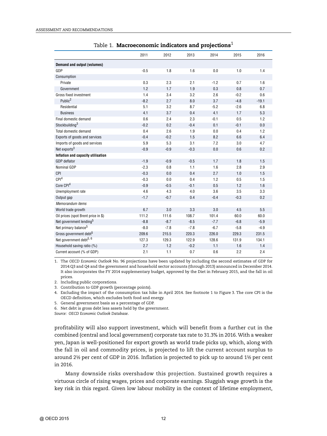|                                     | 2011   | 2012   | 2013   | 2014   | 2015   | 2016    |
|-------------------------------------|--------|--------|--------|--------|--------|---------|
| Demand and output (volumes)         |        |        |        |        |        |         |
| GDP                                 | $-0.5$ | 1.8    | 1.6    | 0.0    | 1.0    | 1.4     |
| Consumption                         |        |        |        |        |        |         |
| Private                             | 0.3    | 2.3    | 2.1    | $-1.2$ | 0.7    | 1.6     |
| Government                          | 1.2    | 1.7    | 1.9    | 0.3    | 0.8    | 0.7     |
| Gross fixed investment              | 1.4    | 3.4    | 3.2    | 2.6    | $-0.2$ | 0.6     |
| Public <sup>2</sup>                 | $-8.2$ | 2.7    | 8.0    | 3.7    | $-4.8$ | $-19.1$ |
| Residential                         | 5.1    | 3.2    | 8.7    | $-5.2$ | $-2.6$ | 6.8     |
| <b>Business</b>                     | 4.1    | 3.7    | 0.4    | 4.1    | 1.7    | 5.3     |
| Final domestic demand               | 0.6    | 2.4    | 2.3    | $-0.1$ | 0.5    | 1.2     |
| Stockbuilding <sup>3</sup>          | $-0.2$ | 0.2    | $-0.4$ | 0.1    | $-0.1$ | 0.0     |
| Total domestic demand               | 0.4    | 2.6    | 1.9    | 0.0    | 0.4    | 1.2     |
| Exports of goods and services       | $-0.4$ | $-0.2$ | 1.5    | 8.2    | 6.6    | 6.4     |
| Imports of goods and services       | 5.9    | 5.3    | 3.1    | 7.2    | 3.0    | 4.7     |
| Net exports <sup>3</sup>            | $-0.9$ | $-0.9$ | $-0.3$ | 0.0    | 0.6    | 0.2     |
| Inflation and capacity utilisation  |        |        |        |        |        |         |
| <b>GDP</b> deflator                 | $-1.9$ | $-0.9$ | $-0.5$ | 1.7    | 1.8    | 1.5     |
| Nominal GDP                         | $-2.3$ | 0.8    | 1.1    | 1.6    | 2.8    | 2.9     |
| CPI                                 | $-0.3$ | 0.0    | 0.4    | 2.7    | 1.0    | 1.5     |
| CPI <sup>4</sup>                    | $-0.3$ | 0.0    | 0.4    | 1.2    | 0.5    | 1.5     |
| Core CPI <sup>4</sup>               | $-0.9$ | $-0.5$ | $-0.1$ | 0.5    | 1.2    | 1.6     |
| Unemployment rate                   | 4.6    | 4.3    | 4.0    | 3.6    | 3.5    | 3.3     |
| Output gap                          | $-1.7$ | $-0.7$ | 0.4    | $-0.4$ | $-0.3$ | 0.2     |
| Memorandum items                    |        |        |        |        |        |         |
| World trade growth                  | 6.7    | 3.0    | 3.3    | 3.0    | 4.5    | 5.5     |
| Oil prices (spot Brent price in \$) | 111.2  | 111.6  | 108.7  | 101.4  | 60.0   | 60.0    |
| Net government lending <sup>5</sup> | $-8.8$ | $-8.7$ | $-8.5$ | $-7.7$ | $-6.8$ | $-5.9$  |
| Net primary balance <sup>5</sup>    | $-8.0$ | $-7.8$ | $-7.8$ | $-6.7$ | $-5.8$ | $-4.9$  |
| Gross government debt <sup>5</sup>  | 209.6  | 215.5  | 220.3  | 226.0  | 229.3  | 231.5   |
| Net government debt <sup>5, 6</sup> | 127.3  | 129.3  | 122.9  | 128.6  | 131.9  | 134.1   |
| Household saving ratio (%)          | 2.7    | 1.2    | $-0.2$ | 1.1    | 1.6    | 1.4     |
| Current account (% of GDP)          | 2.1    | 1.1    | 0.7    | 0.6    | 2.2    | 2.4     |

Table 1. **Macroeconomic indicators and projections**<sup>1</sup>

1. The *OECD Economic Outlook* No. 96 projections have been updated by including the second estimates of GDP for 2014:Q3 and Q4 and the government and household sector accounts (through 2013) announced in December 2014. It also incorporates the FY 2014 supplementary budget, approved by the Diet in February 2015, and the fall in oil prices.

2. Including public corporations.

3. Contribution to GDP growth (percentage points).

4. Excluding the impact of the consumption tax hike in April 2014. See footnote 1 to Figure 3. The core CPI is the OECD definition, which excludes both food and energy.

5. General government basis as a percentage of GDP.

6. Net debt is gross debt less assets held by the government.

*Source: OECD Economic Outlook Database*.

profitability will also support investment, which will benefit from a further cut in the combined (central and local government) corporate tax rate to 31.3% in 2016.With a weaker yen, Japan is well-positioned for export growth as world trade picks up, which, along with the fall in oil and commodity prices, is projected to lift the current account surplus to around 2½ per cent of GDP in 2016. Inflation is projected to pick up to around 1½ per cent in 2016.

Many downside risks overshadow this projection. Sustained growth requires a virtuous circle of rising wages, prices and corporate earnings. Sluggish wage growth is the key risk in this regard. Given low labour mobility in the context of lifetime employment,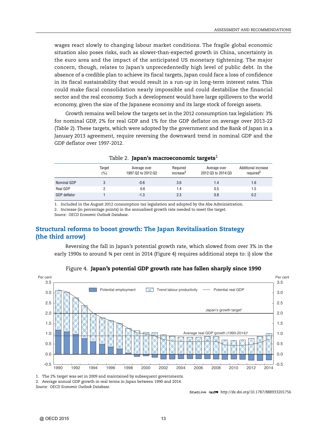wages react slowly to changing labour market conditions. The fragile global economic situation also poses risks, such as slower-than-expected growth in China, uncertainty in the euro area and the impact of the anticipated US monetary tightening. The major concern, though, relates to Japan's unprecedentedly high level of public debt. In the absence of a credible plan to achieve its fiscal targets, Japan could face a loss of confidence in its fiscal sustainability that would result in a run-up in long-term interest rates. This could make fiscal consolidation nearly impossible and could destabilise the financial sector and the real economy. Such a development would have large spillovers to the world economy, given the size of the Japanese economy and its large stock of foreign assets.

Growth remains well below the targets set in the 2012 consumption tax legislation: 3% for nominal GDP, 2% for real GDP and 1% for the GDP deflator on average over 2013-22 (Table 2). These targets, which were adopted by the government and the Bank of Japan in a January 2013 agreement, require reversing the downward trend in nominal GDP and the GDP deflator over 1997-2012.

|                     | Target<br>(%) | Average over<br>1997:02 to 2012:02 | Required<br>increase <sup>2</sup> | Average over<br>2012:03 to 2014:03 | Additional increase<br>required <sup>2</sup> |
|---------------------|---------------|------------------------------------|-----------------------------------|------------------------------------|----------------------------------------------|
| Nominal GDP         |               | $-0.6$                             | 3.6                               | 1.4                                | 1.6                                          |
| Real GDP            |               | 0.6                                | 1.4                               | 0.5                                | 1.5                                          |
| <b>GDP</b> deflator |               | $-1.3$                             | 2.3                               | 0.8                                | 0.2                                          |

|  |  | Table 2. Japan's macroeconomic targets $^1$ |  |
|--|--|---------------------------------------------|--|
|--|--|---------------------------------------------|--|

1. Included in the August 2012 consumption tax legislation and adopted by the Abe Administration.

2. Increase (in percentage points) in the annualised growth rate needed to meet the target.

*Source: OECD Economic Outlook Database*.

#### **Structural reforms to boost growth: The Japan Revitalisation Strategy (the third arrow)**

Reversing the fall in Japan's potential growth rate, which slowed from over 3% in the early 1990s to around ¾ per cent in 2014 (Figure 4) requires additional steps to: i) slow the



Figure 4. **Japan's potential GDP growth rate has fallen sharply since 1990**

1. The 2% target was set in 2009 and maintained by subsequent governments.

2. Average annual GDP growth in real terms in Japan between 1990 and 2014.

*Source: OECD Economic Outlook Database.*

1 2 *<http://dx.doi.org/10.1787/888933201756>*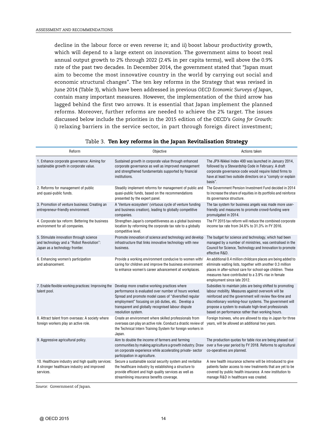decline in the labour force or even reverse it; and ii) boost labour productivity growth, which will depend to a large extent on innovation. The government aims to boost real annual output growth to 2% through 2022 (2.4% in per capita terms), well above the 0.9% rate of the past two decades. In December 2014, the government stated that "Japan must aim to become the most innovative country in the world by carrying out social and economic structural changes". The ten key reforms in the Strategy that was revised in June 2014 (Table 3), which have been addressed in previous *OECD Economic Surveys of Japan*, contain many important measures. However, the implementation of the third arrow has lagged behind the first two arrows. It is essential that Japan implement the planned reforms. Moreover, further reforms are needed to achieve the 2% target. The issues discussed below include the priorities in the 2015 edition of the OECD's *Going for Growth*: i) relaxing barriers in the service sector, in part through foreign direct investment;

| Reform                                                                                                                 | Objective                                                                                                                                                                                                                                                                                          | Actions taken                                                                                                                                                                                                                                                                                                                                     |
|------------------------------------------------------------------------------------------------------------------------|----------------------------------------------------------------------------------------------------------------------------------------------------------------------------------------------------------------------------------------------------------------------------------------------------|---------------------------------------------------------------------------------------------------------------------------------------------------------------------------------------------------------------------------------------------------------------------------------------------------------------------------------------------------|
| 1. Enhance corporate governance: Aiming for<br>sustainable growth in corporate value.                                  | Sustained growth in corporate value through enhanced<br>corporate governance as well as improved management<br>and strengthened fundamentals supported by financial<br>institutions.                                                                                                               | The JPX-Nikkei Index 400 was launched in January 2014,<br>followed by a Stewardship Code in February. A draft<br>corporate governance code would require listed firms to<br>have at least two outside directors on a "comply or explain<br>basis".                                                                                                |
| 2. Reforms for management of public<br>and quasi-public funds.                                                         | Steadily implement reforms for management of public and<br>quasi-public funds, based on the recommendations<br>presented by the expert panel.                                                                                                                                                      | The Government Pension Investment Fund decided in 2014<br>to increase the share of equities in its portfolio and reinforce<br>its governance structure.                                                                                                                                                                                           |
| 3. Promotion of venture business: Creating an<br>entrepreneur-friendly environment.                                    | A 'Venture ecosystem' (virtuous cycle of venture funding<br>and business creation), leading to globally competitive<br>companies.                                                                                                                                                                  | The tax system for business angels was made more user-<br>friendly and measures to promote crowd-funding were<br>promulgated in 2014.                                                                                                                                                                                                             |
| 4. Corporate tax reform: Bettering the business<br>environment for all companies.                                      | Strengthen Japan's competitiveness as a global business<br>location by reforming the corporate tax rate to a globally<br>competitive level.                                                                                                                                                        | The FY 2015 tax reform will reduce the combined corporate<br>income tax rate from 34.6% to 31.3% in FY 2016.                                                                                                                                                                                                                                      |
| 5. Stimulate innovation through science<br>and technology and a "Robot Revolution":<br>Japan as a technology frontier. | Promote innovation of science and technology and develop<br>infrastructure that links innovative technology with new<br>business.                                                                                                                                                                  | The budget for science and technology, which had been<br>managed by a number of ministries, was centralised in the<br>Council for Science, Technology and Innovation to promote<br>effective R&D.                                                                                                                                                 |
| 6. Enhancing women's participation<br>and advancement.                                                                 | Provide a working environment conducive to women with/<br>caring for children and improve the business environment<br>to enhance women's career advancement at workplaces.                                                                                                                         | An additional 0.4 million childcare places are being added to<br>eliminate waiting lists, together with another 0.3 million<br>places in after-school care for school-age children. These<br>measures have contributed to a 3.9% rise in female<br>employment since late 2012.                                                                    |
| 7. Enable flexible working practices: Improving the<br>talent pool.                                                    | Develop more creative working practices where<br>performance is evaluated over number of hours worked.<br>Spread and promote model cases of "diversified regular<br>employment" focusing on job duties, etc. Develop a<br>transparent and globally recognised labour dispute<br>resolution system. | Subsidies to maintain jobs are being shifted to promoting<br>labour mobility. Measures against overwork will be<br>reinforced and the government will review flex-time and<br>discretionary working-hour systems. The government will<br>propose a system to evaluate high-level professionals<br>based on performance rather than working hours. |
| 8. Attract talent from overseas: A society where<br>foreign workers play an active role.                               | Create an environment where skilled professionals from<br>overseas can play an active role. Conduct a drastic review of<br>the Technical Intern Training System for foreign workers in<br>Japan.                                                                                                   | Foreign trainees, who are allowed to stay in Japan for three<br>years, will be allowed an additional two years.                                                                                                                                                                                                                                   |
| 9. Aggressive agricultural policy.                                                                                     | Aim to double the income of farmers and farming<br>communities by making agriculture a growth industry. Draw<br>on corporate experience while accelerating private- sector<br>participation in agriculture.                                                                                        | The production quotas for table rice are being phased out<br>over a five-year period by FY 2018. Reforms to agricultural<br>co-operatives are planned.                                                                                                                                                                                            |
| 10. Healthcare industry and high quality services:<br>A stronger healthcare industry and improved<br>services.         | Secure a sustainable social security system and revitalise<br>the healthcare industry by establishing a structure to<br>provide efficient and high quality services as well as<br>streamlining insurance benefits coverage.                                                                        | A new health insurance scheme will be introduced to give<br>patients faster access to new treatments that are yet to be<br>covered by public health insurance. A new institution to<br>manage R&D in healthcare was created.                                                                                                                      |

#### Table 3. **Ten key reforms in the Japan Revitalisation Strategy**

*Source:* Government of Japan.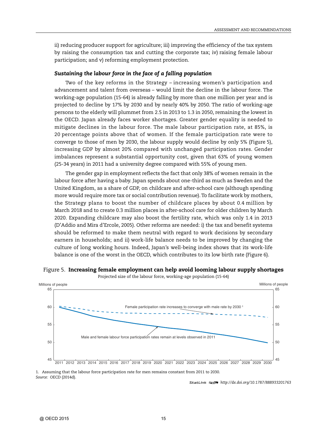ii) reducing producer support for agriculture; iii) improving the efficiency of the tax system by raising the consumption tax and cutting the corporate tax; iv) raising female labour participation; and v) reforming employment protection.

#### *Sustaining the labour force in the face of a falling population*

Two of the key reforms in the Strategy – increasing women's participation and advancement and talent from overseas – would limit the decline in the labour force. The working-age population (15-64) is already falling by more than one million per year and is projected to decline by 17% by 2030 and by nearly 40% by 2050. The ratio of working-age persons to the elderly will plummet from 2.5 in 2013 to 1.3 in 2050, remaining the lowest in the OECD. Japan already faces worker shortages. Greater gender equality is needed to mitigate declines in the labour force. The male labour participation rate, at 85%, is 20 percentage points above that of women. If the female participation rate were to converge to those of men by 2030, the labour supply would decline by only 5% (Figure 5), increasing GDP by almost 20% compared with unchanged participation rates. Gender imbalances represent a substantial opportunity cost, given that 63% of young women (25-34 years) in 2011 had a university degree compared with 55% of young men.

The gender gap in employment reflects the fact that only 38% of women remain in the labour force after having a baby. Japan spends about one-third as much as Sweden and the United Kingdom, as a share of GDP, on childcare and after-school care (although spending more would require more tax or social contribution revenue). To facilitate work by mothers, the Strategy plans to boost the number of childcare places by about 0.4 million by March 2018 and to create 0.3 million places in after-school care for older children by March 2020. Expanding childcare may also boost the fertility rate, which was only 1.4 in 2013 (D'Addio and Mira d'Ercole, 2005). Other reforms are needed: i) the tax and benefit systems should be reformed to make them neutral with regard to work decisions by secondary earners in households; and ii) work-life balance needs to be improved by changing the culture of long working hours. Indeed, Japan's well-being index shows that its work-life balance is one of the worst in the OECD, which contributes to its low birth rate (Figure 6).

#### Figure 5. **Increasing female employment can help avoid looming labour supply shortages**

Projected size of the labour force, working-age population (15-64)



1. Assuming that the labour force participation rate for men remains constant from 2011 to 2030. *Source:* OECD (2014d).

1 2 *<http://dx.doi.org/10.1787/888933201763>*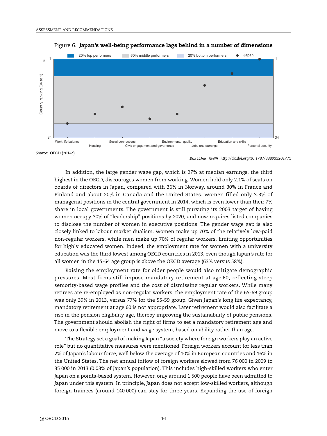



*Source:* OECD (2014c).

In addition, the large gender wage gap, which is 27% at median earnings, the third highest in the OECD, discourages women from working. Women hold only 2.1% of seats on boards of directors in Japan, compared with 36% in Norway, around 30% in France and Finland and about 20% in Canada and the United States. Women filled only 3.3% of managerial positions in the central government in 2014, which is even lower than their 7% share in local governments. The government is still pursuing its 2003 target of having women occupy 30% of "leadership" positions by 2020, and now requires listed companies to disclose the number of women in executive positions. The gender wage gap is also closely linked to labour market dualism. Women make up 70% of the relatively low-paid non-regular workers, while men make up 70% of regular workers, limiting opportunities for highly educated women. Indeed, the employment rate for women with a university education was the third lowest among OECD countries in 2013, even though Japan's rate for all women in the 15-64 age group is above the OECD average (63% versus 58%).

Raising the employment rate for older people would also mitigate demographic pressures. Most firms still impose mandatory retirement at age 60, reflecting steep seniority-based wage profiles and the cost of dismissing regular workers. While many retirees are re-employed as non-regular workers, the employment rate of the 65-69 group was only 39% in 2013, versus 77% for the 55-59 group. Given Japan's long life expectancy, mandatory retirement at age 60 is not appropriate. Later retirement would also facilitate a rise in the pension eligibility age, thereby improving the sustainability of public pensions. The government should abolish the right of firms to set a mandatory retirement age and move to a flexible employment and wage system, based on ability rather than age.

The Strategy set a goal of making Japan "a society where foreign workers play an active role" but no quantitative measures were mentioned. Foreign workers account for less than 2% of Japan's labour force, well below the average of 10% in European countries and 16% in the United States. The net annual inflow of foreign workers slowed from 76 000 in 2009 to 35 000 in 2013 (0.03% of Japan's population). This includes high-skilled workers who enter Japan on a points-based system. However, only around 1 500 people have been admitted to Japan under this system. In principle, Japan does not accept low-skilled workers, although foreign trainees (around 140 000) can stay for three years. Expanding the use of foreign

<sup>1 2</sup> *<http://dx.doi.org/10.1787/888933201771>*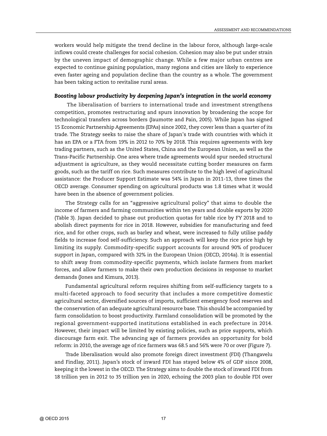workers would help mitigate the trend decline in the labour force, although large-scale inflows could create challenges for social cohesion. Cohesion may also be put under strain by the uneven impact of demographic change. While a few major urban centres are expected to continue gaining population, many regions and cities are likely to experience even faster ageing and population decline than the country as a whole. The government has been taking action to revitalise rural areas.

#### *Boosting labour productivity by deepening Japan's integration in the world economy*

The liberalisation of barriers to international trade and investment strengthens competition, promotes restructuring and spurs innovation by broadening the scope for technological transfers across borders (Jaumotte and Pain, 2005). While Japan has signed 15 Economic Partnership Agreements (EPAs) since 2002, they cover less than a quarter of its trade. The Strategy seeks to raise the share of Japan's trade with countries with which it has an EPA or a FTA from 19% in 2012 to 70% by 2018. This requires agreements with key trading partners, such as the United States, China and the European Union, as well as the Trans-Pacific Partnership. One area where trade agreements would spur needed structural adjustment is agriculture, as they would necessitate cutting border measures on farm goods, such as the tariff on rice. Such measures contribute to the high level of agricultural assistance: the Producer Support Estimate was 54% in Japan in 2011-13, three times the OECD average. Consumer spending on agricultural products was 1.8 times what it would have been in the absence of government policies.

The Strategy calls for an "aggressive agricultural policy" that aims to double the income of farmers and farming communities within ten years and double exports by 2020 (Table 3). Japan decided to phase out production quotas for table rice by FY 2018 and to abolish direct payments for rice in 2018. However, subsidies for manufacturing and feed rice, and for other crops, such as barley and wheat, were increased to fully utilise paddy fields to increase food self-sufficiency. Such an approach will keep the rice price high by limiting its supply. Commodity-specific support accounts for around 90% of producer support in Japan, compared with 32% in the European Union (OECD, 2014a). It is essential to shift away from commodity-specific payments, which isolate farmers from market forces, and allow farmers to make their own production decisions in response to market demands (Jones and Kimura, 2013).

Fundamental agricultural reform requires shifting from self-sufficiency targets to a multi-faceted approach to food security that includes a more competitive domestic agricultural sector, diversified sources of imports, sufficient emergency food reserves and the conservation of an adequate agricultural resource base. This should be accompanied by farm consolidation to boost productivity. Farmland consolidation will be promoted by the regional government-supported institutions established in each prefecture in 2014. However, their impact will be limited by existing policies, such as price supports, which discourage farm exit. The advancing age of farmers provides an opportunity for bold reform: in 2010, the average age of rice farmers was 68.5 and 56% were 70 or over (Figure 7).

Trade liberalisation would also promote foreign direct investment (FDI) (Thangavelu and Findlay, 2011). Japan's stock of inward FDI has stayed below 4% of GDP since 2008, keeping it the lowest in the OECD. The Strategy aims to double the stock of inward FDI from 18 trillion yen in 2012 to 35 trillion yen in 2020, echoing the 2003 plan to double FDI over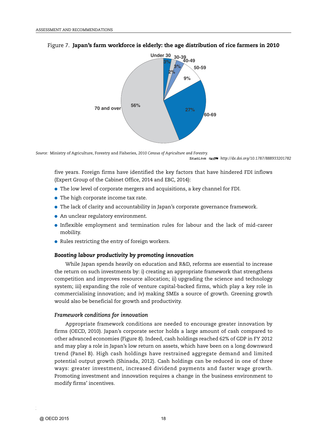

#### Figure 7. **Japan's farm workforce is elderly: the age distribution of rice farmers in 2010**

*Source:* Ministry of Agriculture, Forestry and Fisheries, *2010 Census of Agriculture and Forestry.* 1 2 *<http://dx.doi.org/10.1787/888933201782>*

five years. Foreign firms have identified the key factors that have hindered FDI inflows (Expert Group of the Cabinet Office, 2014 and EBC, 2014):

- The low level of corporate mergers and acquisitions, a key channel for FDI.
- The high corporate income tax rate.
- The lack of clarity and accountability in Japan's corporate governance framework.
- An unclear regulatory environment.
- Inflexible employment and termination rules for labour and the lack of mid-career mobility.
- Rules restricting the entry of foreign workers.

#### *Boosting labour productivity by promoting innovation*

While Japan spends heavily on education and R&D, reforms are essential to increase the return on such investments by: i) creating an appropriate framework that strengthens competition and improves resource allocation; ii) upgrading the science and technology system; iii) expanding the role of venture capital-backed firms, which play a key role in commercialising innovation; and iv) making SMEs a source of growth. Greening growth would also be beneficial for growth and productivity.

#### *Framework conditions for innovation*

Appropriate framework conditions are needed to encourage greater innovation by firms (OECD, 2010). Japan's corporate sector holds a large amount of cash compared to other advanced economies (Figure 8). Indeed, cash holdings reached 62% of GDP in FY 2012 and may play a role in Japan's low return on assets, which have been on a long downward trend (Panel B). High cash holdings have restrained aggregate demand and limited potential output growth (Shinada, 2012). Cash holdings can be reduced in one of three ways: greater investment, increased dividend payments and faster wage growth. Promoting investment and innovation requires a change in the business environment to modify firms' incentives.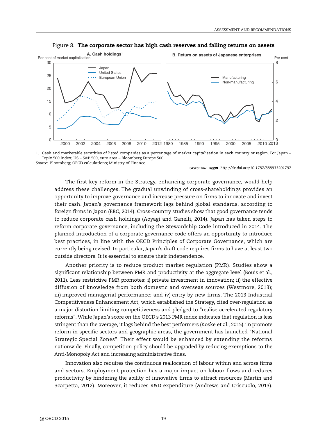

#### Figure 8. **The corporate sector has high cash reserves and falling returns on assets**

1. Cash and marketable securities of listed companies as a percentage of market capitalisation in each country or region. For Japan – Topix 500 Index; US – S&P 500, euro area – Bloomberg Europe 500.

*Source:* Bloomberg; OECD calculations; Ministry of Finance.

1 2 *<http://dx.doi.org/10.1787/888933201797>*

The first key reform in the Strategy, enhancing corporate governance, would help address these challenges. The gradual unwinding of cross-shareholdings provides an opportunity to improve governance and increase pressure on firms to innovate and invest their cash. Japan's governance framework lags behind global standards, according to foreign firms in Japan (EBC, 2014). Cross-country studies show that good governance tends to reduce corporate cash holdings (Aoyagi and Ganelli, 2014). Japan has taken steps to reform corporate governance, including the Stewardship Code introduced in 2014. The planned introduction of a corporate governance code offers an opportunity to introduce best practices, in line with the OECD Principles of Corporate Governance, which are currently being revised. In particular, Japan's draft code requires firms to have at least two outside directors. It is essential to ensure their independence.

Another priority is to reduce product market regulation (PMR). Studies show a significant relationship between PMR and productivity at the aggregate level (Bouis et al., 2011). Less restrictive PMR promotes: i) private investment in innovation; ii) the effective diffusion of knowledge from both domestic and overseas sources (Westmore, 2013); iii) improved managerial performance; and iv) entry by new firms. The 2013 Industrial Competitiveness Enhancement Act, which established the Strategy, cited over-regulation as a major distortion limiting competitiveness and pledged to "realise accelerated regulatory reforms". While Japan's score on the OECD's 2013 PMR index indicates that regulation is less stringent than the average, it lags behind the best performers (Koske et al., 2015). To promote reform in specific sectors and geographic areas, the government has launched "National Strategic Special Zones". Their effect would be enhanced by extending the reforms nationwide. Finally, competition policy should be upgraded by reducing exemptions to the Anti-Monopoly Act and increasing administrative fines.

Innovation also requires the continuous reallocation of labour within and across firms and sectors. Employment protection has a major impact on labour flows and reduces productivity by hindering the ability of innovative firms to attract resources (Martin and Scarpetta, 2012). Moreover, it reduces R&D expenditure (Andrews and Criscuolo, 2013).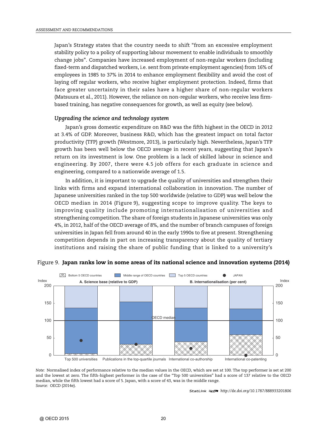Japan's Strategy states that the country needs to shift "from an excessive employment stability policy to a policy of supporting labour movement to enable individuals to smoothly change jobs". Companies have increased employment of non-regular workers (including fixed-term and dispatched workers, i.e. sent from private employment agencies) from 16% of employees in 1985 to 37% in 2014 to enhance employment flexibility and avoid the cost of laying off regular workers, who receive higher employment protection. Indeed, firms that face greater uncertainty in their sales have a higher share of non-regular workers (Matsuura et al., 2011). However, the reliance on non-regular workers, who receive less firmbased training, has negative consequences for growth, as well as equity (see below).

#### *Upgrading the science and technology system*

Japan's gross domestic expenditure on R&D was the fifth highest in the OECD in 2012 at 3.4% of GDP. Moreover, business R&D, which has the greatest impact on total factor productivity (TFP) growth (Westmore, 2013), is particularly high. Nevertheless, Japan's TFP growth has been well below the OECD average in recent years, suggesting that Japan's return on its investment is low. One problem is a lack of skilled labour in science and engineering. By 2007, there were 4.5 job offers for each graduate in science and engineering, compared to a nationwide average of 1.5.

In addition, it is important to upgrade the quality of universities and strengthen their links with firms and expand international collaboration in innovation. The number of Japanese universities ranked in the top 500 worldwide (relative to GDP) was well below the OECD median in 2014 (Figure 9), suggesting scope to improve quality. The keys to improving quality include promoting internationalisation of universities and strengthening competition. The share of foreign students in Japanese universities was only 4%, in 2012, half of the OECD average of 8%, and the number of branch campuses of foreign universities in Japan fell from around 40 in the early 1990s to five at present. Strengthening competition depends in part on increasing transparency about the quality of tertiary institutions and raising the share of public funding that is linked to a university's



#### Figure 9. **Japan ranks low in some areas of its national science and innovation systems (2014)**

*Note:* Normalised index of performance relative to the median values in the OECD, which are set at 100. The top performer is set at 200 and the lowest at zero. The fifth-highest performer in the case of the "Top 500 universities" had a score of 137 relative to the OECD median, while the fifth lowest had a score of 5. Japan, with a score of 43, was in the middle range. *Source:* OECD (2014e).

1 2 *<http://dx.doi.org/10.1787/888933201806>*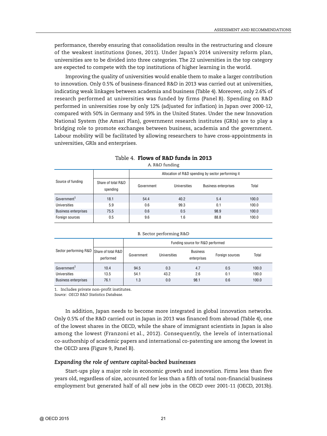performance, thereby ensuring that consolidation results in the restructuring and closure of the weakest institutions (Jones, 2011). Under Japan's 2014 university reform plan, universities are to be divided into three categories. The 22 universities in the top category are expected to compete with the top institutions of higher learning in the world.

Improving the quality of universities would enable them to make a larger contribution to innovation. Only 0.5% of business-financed R&D in 2013 was carried out at universities, indicating weak linkages between academia and business (Table 4). Moreover, only 2.6% of research performed at universities was funded by firms (Panel B). Spending on R&D performed in universities rose by only 12% (adjusted for inflation) in Japan over 2000-12, compared with 50% in Germany and 59% in the United States. Under the new Innovation National System (the Amari Plan), government research institutes (GRIs) are to play a bridging role to promote exchanges between business, academia and the government. Labour mobility will be facilitated by allowing researchers to have cross-appointments in universities, GRIs and enterprises.

|                             |                                | Allocation of R&D spending by sector performing it |              |                             |       |  |
|-----------------------------|--------------------------------|----------------------------------------------------|--------------|-----------------------------|-------|--|
| Source of funding           | Share of total R&D<br>spending | Government                                         | Universities | <b>Business enterprises</b> | Total |  |
| Government <sup>1</sup>     | 18.1                           | 54.4                                               | 40.2         | 5.4                         | 100.0 |  |
| Universities                | 5.9                            | 0.6                                                | 99.3         | 0.1                         | 100.0 |  |
| <b>Business enterprises</b> | 75.5                           | 0.6                                                | 0.5          | 98.9                        | 100.0 |  |
| Foreign sources             | 0.5                            | 9.6                                                | 1.6          | 88.8                        | 100.0 |  |

| Table 4. Flows of R&D funds in 2013 |
|-------------------------------------|
| A. R&D funding                      |

|  | B. Sector performing R&D |  |
|--|--------------------------|--|
|  |                          |  |

|                                          |           | Funding source for R&D performed |                     |                                |                 |       |  |  |
|------------------------------------------|-----------|----------------------------------|---------------------|--------------------------------|-----------------|-------|--|--|
| Sector performing R&D Share of total R&D | performed | Government                       | <b>Universities</b> | <b>Business</b><br>enterprises | Foreign sources | Total |  |  |
| Government <sup>1</sup>                  | 10.4      | 94.5                             | 0.3                 | 4.7                            | 0.5             | 100.0 |  |  |
| <b>Universities</b>                      | 13.5      | 54.1                             | 43.2                | 2.6                            | 0.1             | 100.0 |  |  |
| <b>Business enterprises</b>              | 76.1      | 1.3                              | 0.0                 | 98.1                           | 0.6             | 100.0 |  |  |

1. Includes private non-profit institutes.

*Source: OECD R&D Statistics Database.*

In addition, Japan needs to become more integrated in global innovation networks. Only 0.5% of the R&D carried out in Japan in 2013 was financed from abroad (Table 4), one of the lowest shares in the OECD, while the share of immigrant scientists in Japan is also among the lowest (Franzoni et al., 2012). Consequently, the levels of international co-authorship of academic papers and international co-patenting are among the lowest in the OECD area (Figure 9, Panel B).

#### *Expanding the role of venture capital-backed businesses*

Start-ups play a major role in economic growth and innovation. Firms less than five years old, regardless of size, accounted for less than a fifth of total non-financial business employment but generated half of all new jobs in the OECD over 2001-11 (OECD, 2013b).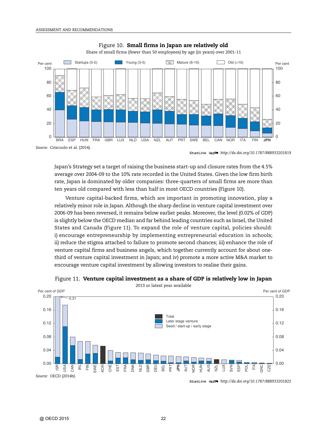

#### Figure 10. **Small firms in Japan are relatively old**

1 2 *<http://dx.doi.org/10.1787/888933201819>*

Japan's Strategy set a target of raising the business start-up and closure rates from the 4.5% average over 2004-09 to the 10% rate recorded in the United States. Given the low firm birth rate, Japan is dominated by older companies: three-quarters of small firms are more than ten years old compared with less than half in most OECD countries (Figure 10).

Venture capital-backed firms, which are important in promoting innovation, play a relatively minor role in Japan. Although the sharp decline in venture capital investment over 2006-09 has been reversed, it remains below earlier peaks. Moreover, the level (0.02% of GDP) is slightly below the OECD median and far behind leading countries such as Israel, the United States and Canada (Figure 11). To expand the role of venture capital, policies should: i) encourage entrepreneurship by implementing entrepreneurial education in schools; ii) reduce the stigma attached to failure to promote second chances; iii) enhance the role of venture capital firms and business angels, which together currently account for about onethird of venture capital investment in Japan; and iv) promote a more active M&A market to encourage venture capital investment by allowing investors to realise their gains.



Figure 11. **Venture capital investment as a share of GDP is relatively low in Japan**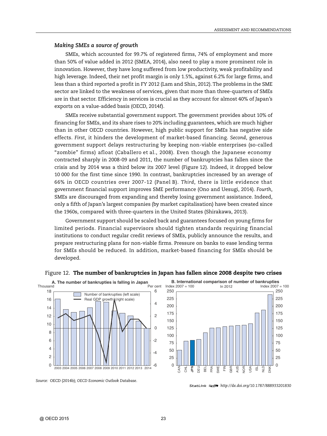#### *Making SMEs a source of growth*

SMEs, which accounted for 99.7% of registered firms, 74% of employment and more than 50% of value added in 2012 (SMEA, 2014), also need to play a more prominent role in innovation. However, they have long suffered from low productivity, weak profitability and high leverage. Indeed, their net profit margin is only 1.5%, against 6.2% for large firms, and less than a third reported a profit in FY 2012 (Lam and Shin, 2012). The problems in the SME sector are linked to the weakness of services, given that more than three-quarters of SMEs are in that sector. Efficiency in services is crucial as they account for almost 40% of Japan's exports on a value-added basis (OECD, 2014f).

SMEs receive substantial government support. The government provides about 10% of financing for SMEs, and its share rises to 20% including guarantees, which are much higher than in other OECD countries. However, high public support for SMEs has negative side effects. *First*, it hinders the development of market-based financing. *Second*, generous government support delays restructuring by keeping non-viable enterprises (so-called "zombie" firms) afloat (Caballero et al., 2008). Even though the Japanese economy contracted sharply in 2008-09 and 2011, the number of bankruptcies has fallen since the crisis and by 2014 was a third below its 2007 level (Figure 12). Indeed, it dropped below 10 000 for the first time since 1990. In contrast, bankruptcies increased by an average of 66% in OECD countries over 2007-12 (Panel B). *Third*, there is little evidence that government financial support improves SME performance (Ono and Uesugi, 2014). *Fourth*, SMEs are discouraged from expanding and thereby losing government assistance. Indeed, only a fifth of Japan's largest companies (by market capitalisation) have been created since the 1960s, compared with three-quarters in the United States (Shirakawa, 2013).

Government support should be scaled back and guarantees focused on young firms for limited periods. Financial supervisors should tighten standards requiring financial institutions to conduct regular credit reviews of SMEs, publicly announce the results, and prepare restructuring plans for non-viable firms. Pressure on banks to ease lending terms for SMEs should be reduced. In addition, market-based financing for SMEs should be developed.



#### Figure 12. **The number of bankruptcies in Japan has fallen since 2008 despite two crises**



<sup>1 2</sup> *<http://dx.doi.org/10.1787/888933201830>*

*Source:* OECD (2014b); *OECD Economic Outlook Database*.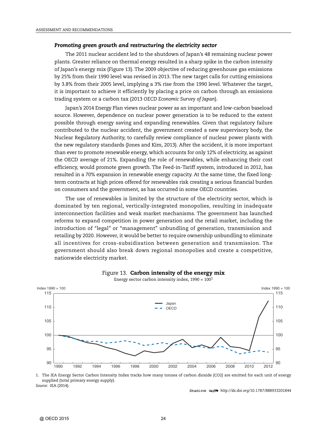#### *Promoting green growth and restructuring the electricity sector*

The 2011 nuclear accident led to the shutdown of Japan's 48 remaining nuclear power plants. Greater reliance on thermal energy resulted in a sharp spike in the carbon intensity of Japan's energy mix (Figure 13). The 2009 objective of reducing greenhouse gas emissions by 25% from their 1990 level was revised in 2013. The new target calls for cutting emissions by 3.8% from their 2005 level, implying a 3% rise from the 1990 level. Whatever the target, it is important to achieve it efficiently by placing a price on carbon through an emissions trading system or a carbon tax (2013 *OECD Economic Survey of Japan*).

Japan's 2014 Energy Plan views nuclear power as an important and low-carbon baseload source. However, dependence on nuclear power generation is to be reduced to the extent possible through energy saving and expanding renewables. Given that regulatory failure contributed to the nuclear accident, the government created a new supervisory body, the Nuclear Regulatory Authority, to carefully review compliance of nuclear power plants with the new regulatory standards (Jones and Kim, 2013). After the accident, it is more important than ever to promote renewable energy, which accounts for only 12% of electricity, as against the OECD average of 21%. Expanding the role of renewables, while enhancing their cost efficiency, would promote green growth. The Feed-in-Tariff system, introduced in 2012, has resulted in a 70% expansion in renewable energy capacity. At the same time, the fixed longterm contracts at high prices offered for renewables risk creating a serious financial burden on consumers and the government, as has occurred in some OECD countries.

The use of renewables is limited by the structure of the electricity sector, which is dominated by ten regional, vertically-integrated monopolies, resulting in inadequate interconnection facilities and weak market mechanisms. The government has launched reforms to expand competition in power generation and the retail market, including the introduction of "legal" or "management" unbundling of generation, transmission and retailing by 2020. However, it would be better to require ownership unbundling to eliminate all incentives for cross-subsidisation between generation and transmission. The government should also break down regional monopolies and create a competitive, nationwide electricity market.



#### Figure 13. **Carbon intensity of the energy mix** Energy sector carbon intensity index,  $1990 = 100<sup>1</sup>$

1. The IEA Energy Sector Carbon Intensity Index tracks how many tonnes of carbon dioxide (CO2) are emitted for each unit of energy supplied (total primary energy supply). *Source:* IEA (2014).

1 2 *<http://dx.doi.org/10.1787/888933201844>*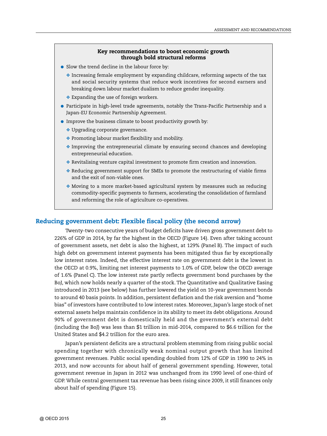#### **Key recommendations to boost economic growth through bold structural reforms**

- Slow the trend decline in the labour force by:
	- $\triangle$  Increasing female employment by expanding childcare, reforming aspects of the tax and social security systems that reduce work incentives for second earners and breaking down labour market dualism to reduce gender inequality.
	- ❖ Expanding the use of foreign workers.
- Participate in high-level trade agreements, notably the Trans-Pacific Partnership and a Japan-EU Economic Partnership Agreement.
- Improve the business climate to boost productivity growth by:
	- ❖ Upgrading corporate governance.
	- ❖ Promoting labour market flexibility and mobility.
	- ❖ Improving the entrepreneurial climate by ensuring second chances and developing entrepreneurial education.
	- ❖ Revitalising venture capital investment to promote firm creation and innovation.
	- ❖ Reducing government support for SMEs to promote the restructuring of viable firms and the exit of non-viable ones.
	- ❖ Moving to a more market-based agricultural system by measures such as reducing commodity-specific payments to farmers, accelerating the consolidation of farmland and reforming the role of agriculture co-operatives.

#### **Reducing government debt: Flexible fiscal policy (the second arrow)**

Twenty-two consecutive years of budget deficits have driven gross government debt to 226% of GDP in 2014, by far the highest in the OECD (Figure 14). Even after taking account of government assets, net debt is also the highest, at 129% (Panel B). The impact of such high debt on government interest payments has been mitigated thus far by exceptionally low interest rates. Indeed, the effective interest rate on government debt is the lowest in the OECD at 0.9%, limiting net interest payments to 1.0% of GDP, below the OECD average of 1.6% (Panel C). The low interest rate partly reflects government bond purchases by the BoJ, which now holds nearly a quarter of the stock. The Quantitative and Qualitative Easing introduced in 2013 (see below) has further lowered the yield on 10-year government bonds to around 40 basis points. In addition, persistent deflation and the risk aversion and "home bias" of investors have contributed to low interest rates. Moreover, Japan's large stock of net external assets helps maintain confidence in its ability to meet its debt obligations. Around 90% of government debt is domestically held and the government's external debt (including the BoJ) was less than \$1 trillion in mid-2014, compared to \$6.6 trillion for the United States and \$4.2 trillion for the euro area.

Japan's persistent deficits are a structural problem stemming from rising public social spending together with chronically weak nominal output growth that has limited government revenues. Public social spending doubled from 12% of GDP in 1990 to 24% in 2013, and now accounts for about half of general government spending. However, total government revenue in Japan in 2012 was unchanged from its 1990 level of one-third of GDP. While central government tax revenue has been rising since 2009, it still finances only about half of spending (Figure 15).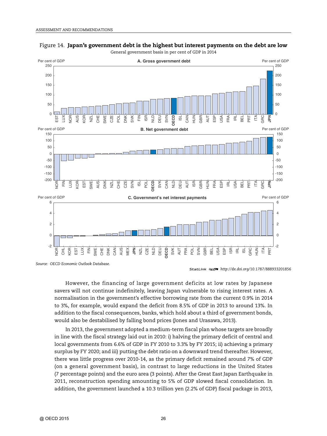



*Source: OECD Economic Outlook Database*.

1 2 *<http://dx.doi.org/10.1787/888933201856>*

However, the financing of large government deficits at low rates by Japanese savers will not continue indefinitely, leaving Japan vulnerable to rising interest rates. A normalisation in the government's effective borrowing rate from the current 0.9% in 2014 to 3%, for example, would expand the deficit from 8.5% of GDP in 2013 to around 13%. In addition to the fiscal consequences, banks, which hold about a third of government bonds, would also be destabilised by falling bond prices (Jones and Urasawa, 2013).

In 2013, the government adopted a medium-term fiscal plan whose targets are broadly in line with the fiscal strategy laid out in 2010: i) halving the primary deficit of central and local governments from 6.6% of GDP in FY 2010 to 3.3% by FY 2015; ii) achieving a primary surplus by FY 2020; and iii) putting the debt ratio on a downward trend thereafter. However, there was little progress over 2010-14, as the primary deficit remained around 7% of GDP (on a general government basis), in contrast to large reductions in the United States (7 percentage points) and the euro area (3 points). After the Great East Japan Earthquake in 2011, reconstruction spending amounting to 5% of GDP slowed fiscal consolidation. In addition, the government launched a 10.3 trillion yen (2.2% of GDP) fiscal package in 2013,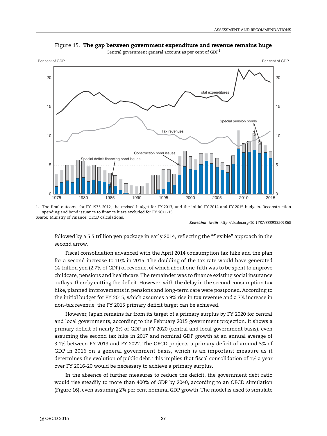

Figure 15. **The gap between government expenditure and revenue remains huge**

Central government general account as per cent of GDP<sup>1</sup>

1. The final outcome for FY 1975-2012, the revised budget for FY 2013, and the initial FY 2014 and FY 2015 budgets. Reconstruction spending and bond issuance to finance it are excluded for FY 2011-15. *Source:* Ministry of Finance; OECD calculations.

1 2 *<http://dx.doi.org/10.1787/888933201868>*

followed by a 5.5 trillion yen package in early 2014, reflecting the "flexible" approach in the second arrow.

Fiscal consolidation advanced with the April 2014 consumption tax hike and the plan for a second increase to 10% in 2015. The doubling of the tax rate would have generated 14 trillion yen (2.7% of GDP) of revenue, of which about one-fifth was to be spent to improve childcare, pensions and healthcare. The remainder was to finance existing social insurance outlays, thereby cutting the deficit. However, with the delay in the second consumption tax hike, planned improvements in pensions and long-term care were postponed. According to the initial budget for FY 2015, which assumes a 9% rise in tax revenue and a 7% increase in non-tax revenue, the FY 2015 primary deficit target can be achieved.

However, Japan remains far from its target of a primary surplus by FY 2020 for central and local governments, according to the February 2015 government projection. It shows a primary deficit of nearly 2% of GDP in FY 2020 (central and local government basis), even assuming the second tax hike in 2017 and nominal GDP growth at an annual average of 3.1% between FY 2013 and FY 2022. The OECD projects a primary deficit of around 5% of GDP in 2016 on a general government basis, which is an important measure as it determines the evolution of public debt. This implies that fiscal consolidation of 1% a year over FY 2016-20 would be necessary to achieve a primary surplus.

In the absence of further measures to reduce the deficit, the government debt ratio would rise steadily to more than 400% of GDP by 2040, according to an OECD simulation (Figure 16), even assuming 2¾ per cent nominal GDP growth. The model is used to simulate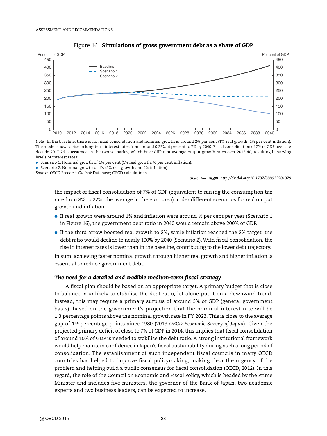



*Note:* In the baseline, there is no fiscal consolidation and nominal growth is around 2¾ per cent (1% real growth, 1¾ per cent inflation). The model shows a rise in long-term interest rates from around 0.25% at present to 7% by 2040. Fiscal consolidation of 7% of GDP over the decade 2017-26 is assumed in the two scenarios, which have different average output growth rates over 2015-40, resulting in varying levels of interest rates:

● Scenario 1: Nominal growth of 1½ per cent (1% real growth, ½ per cent inflation).

● Scenario 2: Nominal growth of 4% (2% real growth and 2% inflation).

*Source: OECD Economic Outlook* Database; OECD calculations.

1 2 *<http://dx.doi.org/10.1787/888933201879>*

the impact of fiscal consolidation of 7% of GDP (equivalent to raising the consumption tax rate from 8% to 22%, the average in the euro area) under different scenarios for real output growth and inflation:

- $\bullet$  If real growth were around 1% and inflation were around  $\frac{1}{2}$  per cent per year (Scenario 1 in Figure 16), the government debt ratio in 2040 would remain above 200% of GDP.
- If the third arrow boosted real growth to 2%, while inflation reached the 2% target, the debt ratio would decline to nearly 100% by 2040 (Scenario 2). With fiscal consolidation, the rise in interest rates is lower than in the baseline, contributing to the lower debt trajectory.

In sum, achieving faster nominal growth through higher real growth and higher inflation is essential to reduce government debt.

#### *The need for a detailed and credible medium-term fiscal strategy*

A fiscal plan should be based on an appropriate target. A primary budget that is close to balance is unlikely to stabilise the debt ratio, let alone put it on a downward trend. Instead, this may require a primary surplus of around 3% of GDP (general government basis), based on the government's projection that the nominal interest rate will be 1.3 percentage points above the nominal growth rate in FY 2023. This is close to the average gap of 1½ percentage points since 1980 (2013 *OECD Economic Survey of Japan*). Given the projected primary deficit of close to 7% of GDP in 2014, this implies that fiscal consolidation of around 10% of GDP is needed to stabilise the debt ratio. A strong institutional framework would help maintain confidence in Japan's fiscal sustainability during such a long period of consolidation. The establishment of such independent fiscal councils in many OECD countries has helped to improve fiscal policymaking, making clear the urgency of the problem and helping build a public consensus for fiscal consolidation (OECD, 2012). In this regard, the role of the Council on Economic and Fiscal Policy, which is headed by the Prime Minister and includes five ministers, the governor of the Bank of Japan, two academic experts and two business leaders, can be expected to increase.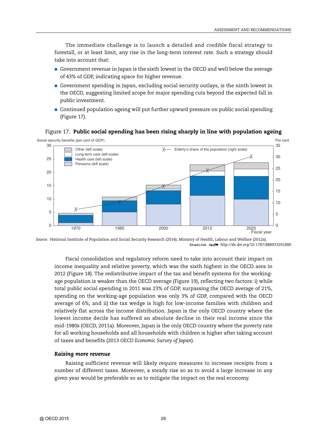The immediate challenge is to launch a detailed and credible fiscal strategy to forestall, or at least limit, any rise in the long-term interest rate. Such a strategy should take into account that:

- Government revenue in Japan is the sixth lowest in the OECD and well below the average of 43% of GDP, indicating space for higher revenue.
- Government spending in Japan, excluding social security outlays, is the ninth lowest in the OECD, suggesting limited scope for major spending cuts beyond the expected fall in public investment.
- Continued population ageing will put further upward pressure on public social spending (Figure 17).

#### $\Omega$ 5 10 15  $20$  $25$ 30 Social security benefits (per cent of GDP)  $\overline{0}$ 5 10 15  $20$ 25 30 35 Per cent Fiscal year 1970 1985 2000 2012 2025 Pensions (left scale) Health care (left scale) Long-term care (left scale) Other (left scale)  $\overline{\smash{\bigtimes}}$  Elderly's share of the population (right scale)

#### Figure 17. **Public social spending has been rising sharply in line with population ageing**

*Source:* National Institute of Population and Social Security Research (2014); Ministry of Health, Labour and Welfare (2012a). 1 2 *<http://dx.doi.org/10.1787/888933201880>*

Fiscal consolidation and regulatory reform need to take into account their impact on income inequality and relative poverty, which was the sixth highest in the OECD area in 2012 (Figure 18). The redistributive impact of the tax and benefit systems for the workingage population is weaker than the OECD average (Figure 19), reflecting two factors: i) while total public social spending in 2011 was 23% of GDP, surpassing the OECD average of 21%, spending on the working-age population was only 3% of GDP, compared with the OECD average of 6%; and ii) the tax wedge is high for low-income families with children and relatively flat across the income distribution. Japan is the only OECD country where the lowest income decile has suffered an absolute decline in their real income since the mid-1980s (OECD, 2011a). Moreover, Japan is the only OECD country where the poverty rate for all working households and all households with children is higher after taking account of taxes and benefits (2013 *OECD Economic Survey of Japan*).

#### *Raising more revenue*

Raising sufficient revenue will likely require measures to increase receipts from a number of different taxes. Moreover, a steady rise so as to avoid a large increase in any given year would be preferable so as to mitigate the impact on the real economy.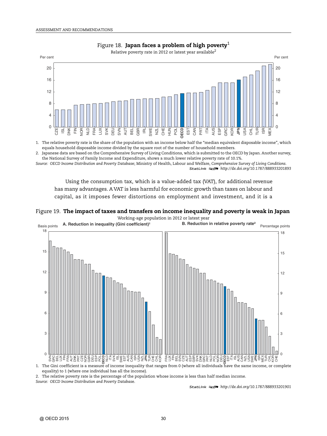

#### Figure 18. **Japan faces a problem of high poverty**<sup>1</sup>

1. The relative poverty rate is the share of the population with an income below half the "median equivalent disposable income", which equals household disposable income divided by the square root of the number of household members.

2. Japanese data are based on the Comprehensive Survey of Living Conditions, which is submitted to the OECD by Japan. Another survey, the National Survey of Family Income and Expenditure, shows a much lower relative poverty rate of 10.1%.

*Source: OECD Income Distribution and Poverty Databas*e; Ministry of Health, Labour and Welfare, *Comprehensive Survey of Living Conditions.* 1 2 *<http://dx.doi.org/10.1787/888933201893>*

Using the consumption tax, which is a value-added tax (VAT), for additional revenue has many advantages. A VAT is less harmful for economic growth than taxes on labour and capital, as it imposes fewer distortions on employment and investment, and it is a

#### Figure 19. **The impact of taxes and transfers on income inequality and poverty is weak in Japan** Working-age population in 2012 or latest year



2. The relative poverty rate is the percentage of the population whose income is less than half median income.

*Source: OECD Income Distribution and Poverty Databas*e.

1 2 *<http://dx.doi.org/10.1787/888933201901>*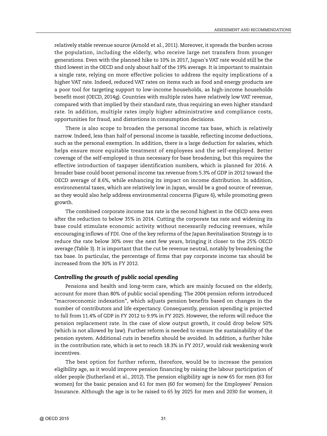relatively stable revenue source (Arnold et al., 2011). Moreover, it spreads the burden across the population, including the elderly, who receive large net transfers from younger generations. Even with the planned hike to 10% in 2017, Japan's VAT rate would still be the third lowest in the OECD and only about half of the 19% average. It is important to maintain a single rate, relying on more effective policies to address the equity implications of a higher VAT rate. Indeed, reduced VAT rates on items such as food and energy products are a poor tool for targeting support to low-income households, as high-income households benefit most (OECD, 2014g). Countries with multiple rates have relatively low VAT revenue, compared with that implied by their standard rate, thus requiring an even higher standard rate. In addition, multiple rates imply higher administrative and compliance costs, opportunities for fraud, and distortions in consumption decisions.

There is also scope to broaden the personal income tax base, which is relatively narrow. Indeed, less than half of personal income is taxable, reflecting income deductions, such as the personal exemption. In addition, there is a large deduction for salaries, which helps ensure more equitable treatment of employees and the self-employed. Better coverage of the self-employed is thus necessary for base broadening, but this requires the effective introduction of taxpayer identification numbers, which is planned for 2016. A broader base could boost personal income tax revenue from 5.3% of GDP in 2012 toward the OECD average of 8.6%, while enhancing its impact on income distribution. In addition, environmental taxes, which are relatively low in Japan, would be a good source of revenue, as they would also help address environmental concerns (Figure 6), while promoting green growth.

The combined corporate income tax rate is the second highest in the OECD area even after the reduction to below 35% in 2014. Cutting the corporate tax rate and widening its base could stimulate economic activity without necessarily reducing revenues, while encouraging inflows of FDI. One of the key reforms of the Japan Revitalisation Strategy is to reduce the rate below 30% over the next few years, bringing it closer to the 25% OECD average (Table 3). It is important that the cut be revenue neutral, notably by broadening the tax base. In particular, the percentage of firms that pay corporate income tax should be increased from the 30% in FY 2012.

#### *Controlling the growth of public social spending*

Pensions and health and long-term care, which are mainly focused on the elderly, account for more than 80% of public social spending. The 2004 pension reform introduced "macroeconomic indexation", which adjusts pension benefits based on changes in the number of contributors and life expectancy. Consequently, pension spending is projected to fall from 11.4% of GDP in FY 2012 to 9.9% in FY 2025. However, the reform will reduce the pension replacement rate. In the case of slow output growth, it could drop below 50% (which is not allowed by law). Further reform is needed to ensure the sustainability of the pension system. Additional cuts in benefits should be avoided. In addition, a further hike in the contribution rate, which is set to reach 18.3% in FY 2017, would risk weakening work incentives.

The best option for further reform, therefore, would be to increase the pension eligibility age, as it would improve pension financing by raising the labour participation of older people (Sutherland et al., 2012). The pension eligibility age is now 65 for men (63 for women) for the basic pension and 61 for men (60 for women) for the Employees' Pension Insurance. Although the age is to be raised to 65 by 2025 for men and 2030 for women, it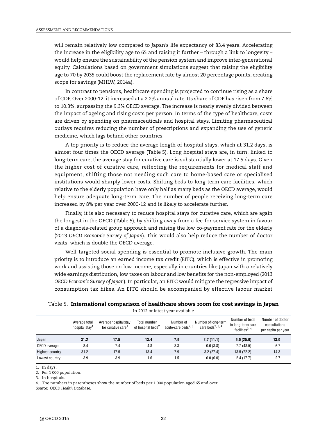will remain relatively low compared to Japan's life expectancy of 83.4 years. Accelerating the increase in the eligibility age to 65 and raising it further – through a link to longevity – would help ensure the sustainability of the pension system and improve inter-generational equity. Calculations based on government simulations suggest that raising the eligibility age to 70 by 2035 could boost the replacement rate by almost 20 percentage points, creating scope for savings (MHLW, 2014a).

In contrast to pensions, healthcare spending is projected to continue rising as a share of GDP. Over 2000-12, it increased at a 2.2% annual rate. Its share of GDP has risen from 7.6% to 10.3%, surpassing the 9.3% OECD average. The increase is nearly evenly divided between the impact of ageing and rising costs per person. In terms of the type of healthcare, costs are driven by spending on pharmaceuticals and hospital stays. Limiting pharmaceutical outlays requires reducing the number of prescriptions and expanding the use of generic medicine, which lags behind other countries.

A top priority is to reduce the average length of hospital stays, which at 31.2 days, is almost four times the OECD average (Table 5). Long hospital stays are, in turn, linked to long-term care; the average stay for curative care is substantially lower at 17.5 days. Given the higher cost of curative care, reflecting the requirements for medical staff and equipment, shifting those not needing such care to home-based care or specialised institutions would sharply lower costs. Shifting beds to long-term care facilities, which relative to the elderly population have only half as many beds as the OECD average, would help ensure adequate long-term care. The number of people receiving long-term care increased by 8% per year over 2000-12 and is likely to accelerate further.

Finally, it is also necessary to reduce hospital stays for curative care, which are again the longest in the OECD (Table 5), by shifting away from a fee-for-service system in favour of a diagnosis-related group approach and raising the low co-payment rate for the elderly (2013 *OECD Economic Survey of Japan*). This would also help reduce the number of doctor visits, which is double the OECD average.

Well-targeted social spending is essential to promote inclusive growth. The main priority is to introduce an earned income tax credit (EITC), which is effective in promoting work and assisting those on low income, especially in countries like Japan with a relatively wide earnings distribution, low taxes on labour and low benefits for the non-employed (2013 *OECD Economic Survey of Japan*). In particular, an EITC would mitigate the regressive impact of consumption tax hikes. An EITC should be accompanied by effective labour market

Table 5. **International comparison of healthcare shows room for cost savings in Japan** In 2012 or latest year available

|                 | Average total<br>hospital stay | Average hospital stay<br>for curative care <sup>1</sup> | Total number<br>of hospital beds <sup>2</sup> | Number of<br>acute-care beds <sup>2, 3</sup> | Number of long-term<br>care beds <sup>2, 3, 4</sup> | Number of beds<br>in long-term care<br>facilities <sup>2, 4</sup> | Number of doctor<br>consultations<br>per capita per year |
|-----------------|--------------------------------|---------------------------------------------------------|-----------------------------------------------|----------------------------------------------|-----------------------------------------------------|-------------------------------------------------------------------|----------------------------------------------------------|
| Japan           | 31.2                           | 17.5                                                    | 13.4                                          | 7.9                                          | 2.7(11.1)                                           | 6.0(25.0)                                                         | 13.0                                                     |
| OECD average    | 8.4                            | 7.4                                                     | 4.8                                           | 3.3                                          | 0.6(3.8)                                            | 7.7(48.5)                                                         | 6.7                                                      |
| Highest country | 31.2                           | 17.5                                                    | 13.4                                          | 7.9                                          | 3.2(27.4)                                           | 13.5(72.2)                                                        | 14.3                                                     |
| Lowest country  | 3.9                            | 3.9                                                     | 1.6                                           | 1.5                                          | 0.0(0.0)                                            | 2.4(17.7)                                                         | 2.7                                                      |

1. In days.

2. Per 1 000 population.

3. In hospitals.

4. The numbers in parentheses show the number of beds per 1 000 population aged 65 and over.

*Source: OECD Health Database.*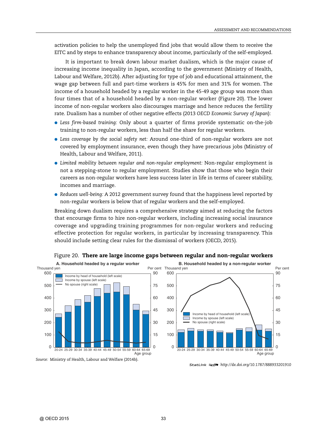activation policies to help the unemployed find jobs that would allow them to receive the EITC and by steps to enhance transparency about income, particularly of the self-employed.

It is important to break down labour market dualism, which is the major cause of increasing income inequality in Japan, according to the government (Ministry of Health, Labour and Welfare, 2012b). After adjusting for type of job and educational attainment, the wage gap between full and part-time workers is 45% for men and 31% for women. The income of a household headed by a regular worker in the 45-49 age group was more than four times that of a household headed by a non-regular worker (Figure 20). The lower income of non-regular workers also discourages marriage and hence reduces the fertility rate. Dualism has a number of other negative effects (2013 *OECD Economic Survey of Japan*):

- *Less firm-based training:* Only about a quarter of firms provide systematic on-the-job training to non-regular workers, less than half the share for regular workers.
- *Less coverage by the social safety net:* Around one-third of non-regular workers are not covered by employment insurance, even though they have precarious jobs (Ministry of Health, Labour and Welfare, 2011).
- *Limited mobility between regular and non-regular employment:* Non-regular employment is not a stepping-stone to regular employment. Studies show that those who begin their careers as non-regular workers have less success later in life in terms of career stability, incomes and marriage.
- *Reduces well-being:* A 2012 government survey found that the happiness level reported by non-regular workers is below that of regular workers and the self-employed.

Breaking down dualism requires a comprehensive strategy aimed at reducing the factors that encourage firms to hire non-regular workers, including increasing social insurance coverage and upgrading training programmes for non-regular workers and reducing effective protection for regular workers, in particular by increasing transparency. This should include setting clear rules for the dismissal of workers (OECD, 2015).



#### Figure 20. **There are large income gaps between regular and non-regular workers**

<sup>1 2</sup> *<http://dx.doi.org/10.1787/888933201910>*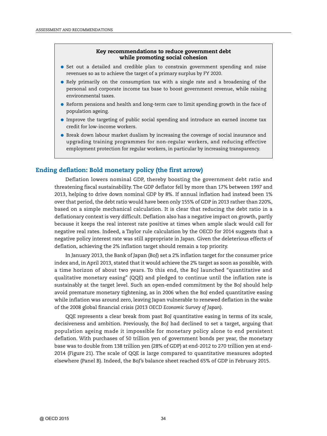#### **Key recommendations to reduce government debt while promoting social cohesion**

- Set out a detailed and credible plan to constrain government spending and raise revenues so as to achieve the target of a primary surplus by FY 2020.
- Rely primarily on the consumption tax with a single rate and a broadening of the personal and corporate income tax base to boost government revenue, while raising environmental taxes.
- Reform pensions and health and long-term care to limit spending growth in the face of population ageing.
- Improve the targeting of public social spending and introduce an earned income tax credit for low-income workers.
- Break down labour market dualism by increasing the coverage of social insurance and upgrading training programmes for non-regular workers, and reducing effective employment protection for regular workers, in particular by increasing transparency.

#### **Ending deflation: Bold monetary policy (the first arrow)**

Deflation lowers nominal GDP, thereby boosting the government debt ratio and threatening fiscal sustainability. The GDP deflator fell by more than 17% between 1997 and 2013, helping to drive down nominal GDP by 8%. If annual inflation had instead been 1% over that period, the debt ratio would have been only 155% of GDP in 2013 rather than 220%, based on a simple mechanical calculation. It is clear that reducing the debt ratio in a deflationary context is very difficult. Deflation also has a negative impact on growth, partly because it keeps the real interest rate positive at times when ample slack would call for negative real rates. Indeed, a Taylor rule calculation by the OECD for 2014 suggests that a negative policy interest rate was still appropriate in Japan. Given the deleterious effects of deflation, achieving the 2% inflation target should remain a top priority.

In January 2013, the Bank of Japan (BoJ) set a 2% inflation target for the consumer price index and, in April 2013, stated that it would achieve the 2% target as soon as possible, with a time horizon of about two years. To this end, the BoJ launched "quantitative and qualitative monetary easing" (QQE) and pledged to continue until the inflation rate is sustainably at the target level. Such an open-ended commitment by the BoJ should help avoid premature monetary tightening, as in 2006 when the BoJ ended quantitative easing while inflation was around zero, leaving Japan vulnerable to renewed deflation in the wake of the 2008 global financial crisis (2013 *OECD Economic Survey of Japan*).

QQE represents a clear break from past BoJ quantitative easing in terms of its scale, decisiveness and ambition. Previously, the BoJ had declined to set a target, arguing that population ageing made it impossible for monetary policy alone to end persistent deflation. With purchases of 50 trillion yen of government bonds per year, the monetary base was to double from 138 trillion yen (28% of GDP) at end-2012 to 270 trillion yen at end-2014 (Figure 21). The scale of QQE is large compared to quantitative measures adopted elsewhere (Panel B). Indeed, the BoJ's balance sheet reached 65% of GDP in February 2015.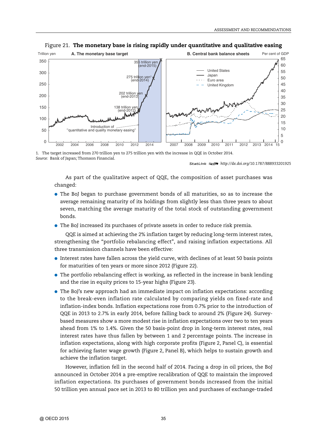

#### Figure 21. **The monetary base is rising rapidly under quantitative and qualitative easing**

1. The target increased from 270 trillion yen to 275 trillion yen with the increase in QQE in October 2014. *Source:* Bank of Japan; Thomson Financial.

1 2 *<http://dx.doi.org/10.1787/888933201925>*

As part of the qualitative aspect of QQE, the composition of asset purchases was changed:

- The BoJ began to purchase government bonds of all maturities, so as to increase the average remaining maturity of its holdings from slightly less than three years to about seven, matching the average maturity of the total stock of outstanding government bonds.
- The BoJ increased its purchases of private assets in order to reduce risk premia.

QQE is aimed at achieving the 2% inflation target by reducing long-term interest rates, strengthening the "portfolio rebalancing effect", and raising inflation expectations. All three transmission channels have been effective:

- Interest rates have fallen across the yield curve, with declines of at least 50 basis points for maturities of ten years or more since 2012 (Figure 22).
- The portfolio rebalancing effect is working, as reflected in the increase in bank lending and the rise in equity prices to 15-year highs (Figure 23).
- The BoJ's new approach had an immediate impact on inflation expectations: according to the break-even inflation rate calculated by comparing yields on fixed-rate and inflation-index bonds. Inflation expectations rose from 0.7% prior to the introduction of QQE in 2013 to 2.7% in early 2014, before falling back to around 2% (Figure 24). Surveybased measures show a more modest rise in inflation expectations over two to ten years ahead from 1% to 1.4%. Given the 50 basis-point drop in long-term interest rates, real interest rates have thus fallen by between 1 and 2 percentage points. The increase in inflation expectations, along with high corporate profits (Figure 2, Panel C), is essential for achieving faster wage growth (Figure 2, Panel B), which helps to sustain growth and achieve the inflation target.

However, inflation fell in the second half of 2014. Facing a drop in oil prices, the BoJ announced in October 2014 a pre-emptive recalibration of QQE to maintain the improved inflation expectations. Its purchases of government bonds increased from the initial 50 trillion yen annual pace set in 2013 to 80 trillion yen and purchases of exchange-traded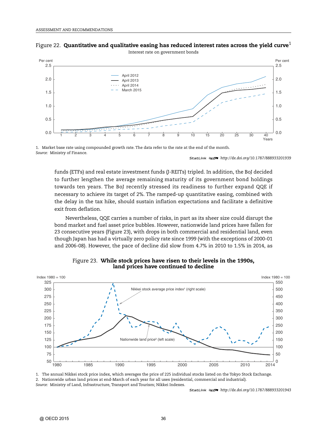



Interest rate on government bonds

1. Market base rate using compounded growth rate. The data refer to the rate at the end of the month. *Source:* Ministry of Finance.

1 2 *<http://dx.doi.org/10.1787/888933201939>*

funds (ETFs) and real estate investment funds (J-REITs) tripled. In addition, the BoJ decided to further lengthen the average remaining maturity of its government bond holdings towards ten years. The BoJ recently stressed its readiness to further expand QQE if necessary to achieve its target of 2%. The ramped-up quantitative easing, combined with the delay in the tax hike, should sustain inflation expectations and facilitate a definitive exit from deflation.

Nevertheless, QQE carries a number of risks, in part as its sheer size could disrupt the bond market and fuel asset price bubbles. However, nationwide land prices have fallen for 23 consecutive years (Figure 23), with drops in both commercial and residential land, even though Japan has had a virtually zero policy rate since 1999 (with the exceptions of 2000-01 and 2006-08). However, the pace of decline did slow from 4.7% in 2010 to 1.5% in 2014, as



Figure 23. **While stock prices have risen to their levels in the 1990s, land prices have continued to decline**

1. The annual Nikkei stock price index, which averages the price of 225 individual stocks listed on the Tokyo Stock Exchange. 2. Nationwide urban land prices at end-March of each year for all uses (residential, commercial and industrial). *Source:* Ministry of Land, Infrastructure, Transport and Tourism; Nikkei Indexes.

1 2 *<http://dx.doi.org/10.1787/888933201943>*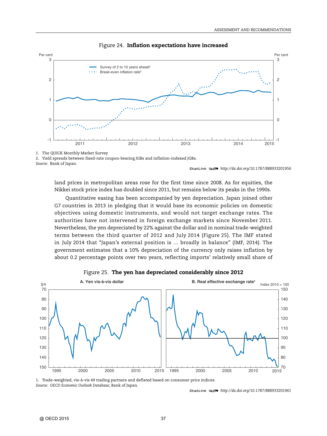

#### Figure 24. **Inflation expectations have increased**

2. Yield spreads between fixed-rate coupon-bearing JGBs and inflation-indexed JGBs.

*Source:* Bank of Japan.

1 2 *<http://dx.doi.org/10.1787/888933201956>*

land prices in metropolitan areas rose for the first time since 2008. As for equities, the Nikkei stock price index has doubled since 2011, but remains below its peaks in the 1990s.

Quantitative easing has been accompanied by yen depreciation. Japan joined other G7 countries in 2013 in pledging that it would base its economic policies on domestic objectives using domestic instruments, and would not target exchange rates. The authorities have not intervened in foreign exchange markets since November 2011. Nevertheless, the yen depreciated by 22% against the dollar and in nominal trade-weighted terms between the third quarter of 2012 and July 2014 (Figure 25). The IMF stated in July 2014 that "Japan's external position is … broadly in balance" (IMF, 2014). The government estimates that a 10% depreciation of the currency only raises inflation by about 0.2 percentage points over two years, reflecting imports' relatively small share of



Figure 25. **The yen has depreciated considerably since 2012**

1. Trade-weighted, vis-à-vis 49 trading partners and deflated based on consumer price indices. *Source: OECD Economic Outlook Database*; Bank of Japan.

<sup>1 2</sup> *<http://dx.doi.org/10.1787/888933201961>*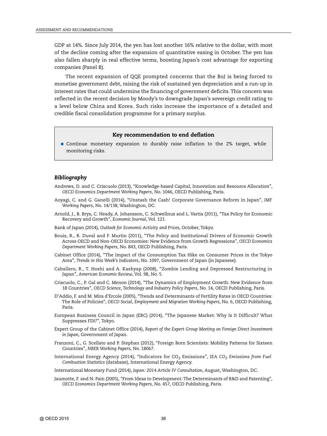GDP at 14%. Since July 2014, the yen has lost another 16% relative to the dollar, with most of the decline coming after the expansion of quantitative easing in October. The yen has also fallen sharply in real effective terms, boosting Japan's cost advantage for exporting companies (Panel B).

The recent expansion of QQE prompted concerns that the BoJ is being forced to monetise government debt, raising the risk of sustained yen depreciation and a run-up in interest rates that could undermine the financing of government deficits. This concern was reflected in the recent decision by Moody's to downgrade Japan's sovereign credit rating to a level below China and Korea. Such risks increase the importance of a detailed and credible fiscal consolidation programme for a primary surplus.

#### **Key recommendation to end deflation**

● Continue monetary expansion to durably raise inflation to the 2% target, while monitoring risks.

#### *Bibliography*

- Andrews, D. and C. Criscuolo (2013), "Knowledge-based Capital, Innovation and Resource Allocation", *OECD Economics Department Working Papers*, No. 1046, OECD Publishing, Paris.
- Aoyagi, C. and G. Ganelli (2014), "Unstash the Cash! Corporate Governance Reform in Japan", *IMF Working Papers*, No. 14/138, Washington, DC.
- Arnold, J., B. Brys, C. Heady, A. Johansson, C. Schwellnus and L. Vartia (2011), "Tax Policy for Economic Recovery and Growth", *Economic Journal*, Vol. 121.
- Bank of Japan (2014), *Outlook for Economic Activity and Prices,* October, Tokyo.
- Bouis, R., R. Duval and F. Murtin (2011), "The Policy and Institutional Drivers of Economic Growth Across OECD and Non-OECD Economies: New Evidence from Growth Regressions", *OECD Economics Department Working Papers*, No. 843, OECD Publishing, Paris.
- Cabinet Office (2014), "The Impact of the Consumption Tax Hike on Consumer Prices in the Tokyo Area", *Trends in this Week's Indicators*, No. 1097, Government of Japan (in Japanese).
- Caballero, R., T. Hoshi and A. Kashyap (2008), "Zombie Lending and Depressed Restructuring in Japan", *American Economic Review*, Vol. 98, No. 5.
- Criscuolo, C., P. Gal and C. Menon (2014), "The Dynamics of Employment Growth: New Evidence from 18 Countries", *OECD Science, Technology and Industry Policy Papers*, No. 14, OECD Publishing, Paris.
- D'Addio, F. and M. Mira d'Ercole (2005), "Trends and Determinants of Fertility Rates in OECD Countries: The Role of Policies", *OECD Social, Employment and Migration Working Papers*, No. 6, OECD Publishing, Paris.
- European Business Council in Japan (EBC) (2014), "The Japanese Market: Why Is It Difficult? What Suppresses FDI?", Tokyo.
- Expert Group of the Cabinet Office (2014), *Report of the Expert Group Meeting on Foreign Direct Investment in Japan*, Government of Japan.
- Franzoni, C., G. Scellato and P. Stephan (2012), "Foreign Born Scientists: Mobility Patterns for Sixteen Countries", *NBER Working Papers,* No. 18067.
- International Energy Agency (2014), "Indicators for CO<sub>2</sub> Emissions", *IEA CO<sub>2</sub> Emissions from Fuel Combustion Statistics* (database), International Energy Agency.

International Monetary Fund (2014), *Japan: 2014 Article IV Consultation*, August, Washington, DC.

Jaumotte, F. and N. Pain (2005), "From Ideas to Development: The Determinants of R&D and Patenting", *OECD Economics Department Working Papers,* No. 457, OECD Publishing, Paris.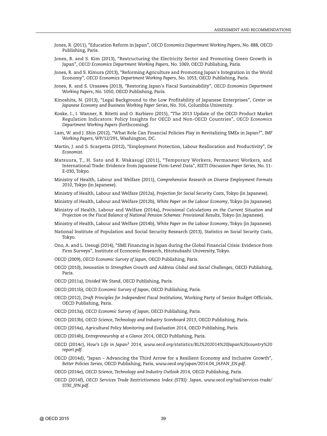- Jones, R. (2011), "Education Reform in Japan", *OECD Economics Department Working Papers*, No. 888, OECD Publishing, Paris.
- Jones, R. and S. Kim (2013), "Restructuring the Electricity Sector and Promoting Green Growth in Japan", *OECD Economics Department Working Papers*, No. 1069, OECD Publishing, Paris.
- Jones, R. and S. Kimura (2013), "Reforming Agriculture and Promoting Japan's Integration in the World Economy", *OECD Economics Department Working Papers*, No. 1053, OECD Publishing, Paris.
- Jones, R. and S. Urasawa (2013), "Restoring Japan's Fiscal Sustainability", *OECD Economics Department Working Papers*, No. 1050, OECD Publishing, Paris.
- Kinoshita, N. (2013), "Legal Background to the Low Profitability of Japanese Enterprises", *Center on Japanese Economy and Business Working Paper Series*, No. 316, Columbia University.
- Koske, I., I. Wanner, R. Bitetti and O. Barbiero (2015), "The 2013 Update of the OECD Product Market Regulation Indicators: Policy Insights for OECD and Non-OECD Countries", *OECD Economics Department Working Papers* (forthcoming).
- Lam, W. and J. Shin (2012), "What Role Can Financial Policies Play in Revitalizing SMEs in Japan?", *IMF Working Papers,* WP/12/291, Washington, DC.
- Martin, J. and S. Scarpetta (2012), "Employment Protection, Labour Reallocation and Productivity", *De Economist*.
- Matsuura, T., H. Sato and R. Wakasugi (2011), "Temporary Workers, Permanent Workers, and International Trade: Evidence from Japanese Firm-Level Data", *RIETI Discussion Paper Series*, No. 11- E-030, Tokyo.
- Ministry of Health, Labour and Welfare (2011), *Comprehensive Research on Diverse Employment Formats 2010*, Tokyo (in Japanese).

Ministry of Health, Labour and Welfare (2012a), *Projection for Social Security Costs*, Tokyo (in Japanese).

- Ministry of Health, Labour and Welfare (2012b), *White Paper on the Labour Economy*, Tokyo (in Japanese).
- Ministry of Health, Labour and Welfare (2014a), *Provisional Calculations on the Current Situation and Projection on the Fiscal Balance of National Pension Schemes: Provisional Results,* Tokyo (in Japanese).

Ministry of Health, Labour and Welfare (2014b), *White Paper on the Labour Economy*, Tokyo (in Japanese).

- National Institute of Population and Social Security Research (2013), *Statistics on Social Security Costs*, Tokyo.
- Ono, A. and L. Uesugi (2014), "SME Financing in Japan during the Global Financial Crisis: Evidence from Firm Surveys", Institute of Economic Research, Hitotsubashi University, Tokyo.
- OECD (2009), *OECD Economic Survey of Japan*, OECD Publishing, Paris.
- OECD (2010), *Innovation to Strengthen Growth and Address Global and Social Challenges*, OECD Publishing, Paris.

OECD (2011a), *Divided We Stand*, OECD Publishing, Paris.

- OECD (2011b), *OECD Economic Survey of Japan*, OECD Publishing, Paris.
- OECD (2012), *Draft Principles for Independent Fiscal Institutions*, Working Party of Senior Budget Officials, OECD Publishing, Paris.
- OECD (2013a), *OECD Economic Survey of Japan*, OECD Publishing, Paris.
- OECD (2013b), *OECD Science, Technology and Industry Scoreboard 2013*, OECD Publishing, Paris.
- OECD (2014a), *Agricultural Policy Monitoring and Evaluation 2014*, OECD Publishing, Paris.
- OECD (2014b), *Entrepreneurship at a Glance 2014*, OECD Publishing, Paris.
- OECD (2014c), *How's Life in Japan? 2014*, *[www.oecd.org/statistics/BLI%202014%20Japan%20country%20](http://www.oecd.org/statistics/BLI%202014%20Japan%20country%20report.pdf) [report.pdf](http://www.oecd.org/statistics/BLI%202014%20Japan%20country%20report.pdf)*.
- OECD (2014d), "Japan Advancing the Third Arrow for a Resilient Economy and Inclusive Growth", *Better Policies Series*, OECD Publishing, Paris, *[www.oecd.org/japan/2014.04\\_JAPAN\\_EN.pdf](http://www.oecd.org/japan/2014.04_JAPAN_EN.pdf)*.
- OECD (2014e), *OECD Science, Technology and Industry Outlook 2014*, OECD Publishing, Paris.
- OECD (2014f), *OECD Services Trade Restrictiveness Index (STRI): Japan*, *[www.oecd.org/tad/services-trade/](http://www.oecd.org/tad/services-trade/STRI_JPN.pdf) [STRI\\_JPN.pdf](http://www.oecd.org/tad/services-trade/STRI_JPN.pdf)*.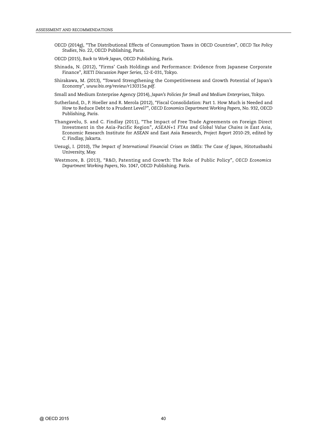- OECD (2014g), "The Distributional Effects of Consumption Taxes in OECD Countries", *OECD Tax Policy Studies*, No. 22, OECD Publishing, Paris.
- OECD (2015), *Back to Work Japan*, OECD Publishing, Paris.
- Shinada, N. (2012), "Firms' Cash Holdings and Performance: Evidence from Japanese Corporate Finance", *RIETI Discussion Paper Series*, 12-E-031, Tokyo.
- Shirakawa, M. (2013), "Toward Strengthening the Competitiveness and Growth Potential of Japan's Economy", *[www.bis.org/review/r130315a.pdf](http://www.bis.org/review/r130315a.pdf)*.

Small and Medium Enterprise Agency (2014), *Japan's Policies for Small and Medium Enterprises*, Tokyo.

- Sutherland, D., P. Hoeller and R. Merola (2012), "Fiscal Consolidation: Part 1. How Much is Needed and How to Reduce Debt to a Prudent Level?", *OECD Economics Department Working Papers*, No. 932, OECD Publishing, Paris.
- Thangavelu, S. and C. Findlay (2011), "The Impact of Free Trade Agreements on Foreign Direct Investment in the Asia-Pacific Region", *ASEAN+1 FTAs and Global Value Chains in East Asia*, Economic Research Institute for ASEAN and East Asia Research, *Project Report* 2010-29, edited by C. Findlay, Jakarta.
- Uesugi, I. (2010), *The Impact of International Financial Crises on SMEs: The Case of Japan*, Hitotusbashi University, May.
- Westmore, B. (2013), "R&D, Patenting and Growth: The Role of Public Policy", *OECD Economics Department Working Papers*, No. 1047, OECD Publishing. Paris.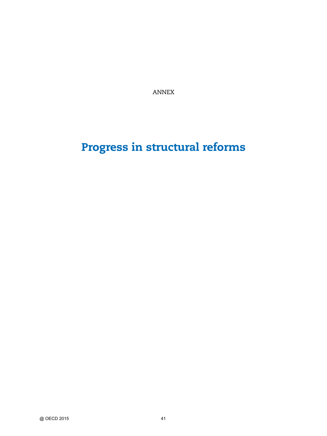ANNEX

# **Progress in structural reforms**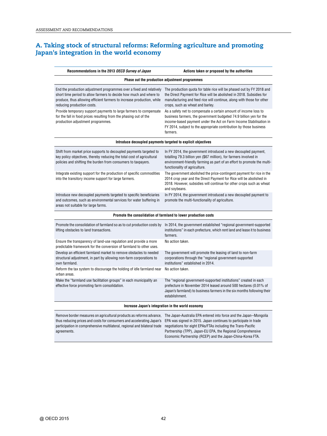#### **A. Taking stock of structural reforms: Reforming agriculture and promoting Japan's integration in the world economy**

| Recommendations in the 2013 OECD Survey of Japan                                                                                                                                                                                                   | Actions taken or proposed by the authorities                                                                                                                                                                                                                                                   |
|----------------------------------------------------------------------------------------------------------------------------------------------------------------------------------------------------------------------------------------------------|------------------------------------------------------------------------------------------------------------------------------------------------------------------------------------------------------------------------------------------------------------------------------------------------|
|                                                                                                                                                                                                                                                    | Phase out the production adjustment programmes                                                                                                                                                                                                                                                 |
| End the production adjustment programmes over a fixed and relatively<br>short time period to allow farmers to decide how much and where to<br>produce, thus allowing efficient farmers to increase production, while<br>reducing production costs. | The production quota for table rice will be phased out by FY 2018 and<br>the Direct Payment for Rice will be abolished in 2018. Subsidies for<br>manufacturing and feed rice will continue, along with those for other<br>crops, such as wheat and barley.                                     |
| Provide temporary support payments to large farmers to compensate<br>for the fall in food prices resulting from the phasing out of the<br>production adjustment programmes.                                                                        | As a safety net to compensate a certain amount of income loss to<br>business farmers, the government budgeted 74.9 billion yen for the<br>income-based payment under the Act on Farm Income Stabilisation in<br>FY 2014, subject to the appropriate contribution by those business<br>farmers. |
|                                                                                                                                                                                                                                                    | Introduce decoupled payments targeted to explicit objectives                                                                                                                                                                                                                                   |
| Shift from market price supports to decoupled payments targeted to<br>key policy objectives, thereby reducing the total cost of agricultural<br>policies and shifting the burden from consumers to taxpayers.                                      | In FY 2014, the government introduced a new decoupled payment,<br>totalling 79.3 billion yen (\$67 million), for farmers involved in<br>environment-friendly farming as part of an effort to promote the multi-<br>functionality of agriculture.                                               |
| Integrate existing support for the production of specific commodities<br>into the transitory income support for large farmers.                                                                                                                     | The government abolished the price-contingent payment for rice in the<br>2014 crop year and the Direct Payment for Rice will be abolished in<br>2018. However, subsidies will continue for other crops such as wheat<br>and soybeans.                                                          |
| Introduce new decoupled payments targeted to specific beneficiaries<br>and outcomes, such as environmental services for water buffering in<br>areas not suitable for large farms.                                                                  | In FY 2014, the government introduced a new decoupled payment to<br>promote the multi-functionality of agriculture.                                                                                                                                                                            |
|                                                                                                                                                                                                                                                    | Promote the consolidation of farmland to lower production costs                                                                                                                                                                                                                                |
| Promote the consolidation of farmland so as to cut production costs by<br>lifting obstacles to land transactions.                                                                                                                                  | In 2014, the government established "regional government-supported<br>institutions" in each prefecture, which rent land and lease it to business<br>farmers.                                                                                                                                   |
| Ensure the transparency of land-use regulation and provide a more<br>predictable framework for the conversion of farmland to other uses.                                                                                                           | No action taken.                                                                                                                                                                                                                                                                               |
| Develop an efficient farmland market to remove obstacles to needed<br>structural adjustment, in part by allowing non-farm corporations to<br>own farmland.                                                                                         | The government will promote the leasing of land to non-farm<br>corporations through the "regional government-supported<br>institutions" established in 2014.                                                                                                                                   |
| Reform the tax system to discourage the holding of idle farmland near<br>urban areas.                                                                                                                                                              | No action taken.                                                                                                                                                                                                                                                                               |
| Make the "farmland use facilitation groups" in each municipality an<br>effective force promoting farm consolidation.                                                                                                                               | The "regional government-supported institutions" created in each<br>prefecture in November 2014 leased around 500 hectares (0.01% of<br>Japan's farmland) to business farmers in the six months following their<br>establishment.                                                              |
|                                                                                                                                                                                                                                                    | Increase Japan's integration in the world economy                                                                                                                                                                                                                                              |
| Remove border measures on agricultural products as reforms advance,<br>thus reducing prices and costs for consumers and accelerating Japan's<br>participation in comprehensive multilateral, regional and bilateral trade<br>agreements.           | The Japan-Australia EPA entered into force and the Japan--Mongolia<br>EPA was signed in 2015. Japan continues to participate in trade<br>negotiations for eight EPAs/FTAs including the Trans-Pacific<br>Partnership (TPP), Japan-EU EPA, the Regional Comprehensive                           |

Economic Partnership (RCEP) and the Japan-China-Korea FTA.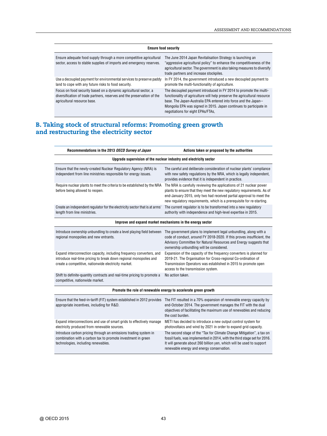| <b>Ensure food security</b>                                                                                                                                                |                                                                                                                                                                                                                                                                                                                               |  |  |
|----------------------------------------------------------------------------------------------------------------------------------------------------------------------------|-------------------------------------------------------------------------------------------------------------------------------------------------------------------------------------------------------------------------------------------------------------------------------------------------------------------------------|--|--|
| Ensure adequate food supply through a more competitive agricultural<br>sector, access to stable supplies of imports and emergency reserves.                                | The June 2014 Japan Revitalisation Strategy is launching an<br>"aggressive agricultural policy" to enhance the competitiveness of the<br>agricultural sector. The government is also taking measures to diversify<br>trade partners and increase stockpiles.                                                                  |  |  |
| Use a decoupled payment for environmental services to preserve paddy<br>land to cope with any future risks to food security.                                               | In FY 2014, the government introduced a new decoupled payment to<br>promote the multi-functionality of agriculture.                                                                                                                                                                                                           |  |  |
| Focus on food security based on a dynamic agricultural sector, a<br>diversification of trade partners, reserves and the preservation of the<br>agricultural resource base. | The decoupled payment introduced in FY 2014 to promote the multi-<br>functionality of agriculture will help preserve the agricultural resource<br>base. The Japan-Australia EPA entered into force and the Japan--<br>Mongolia EPA was signed in 2015. Japan continues to participate in<br>negotiations for eight EPAs/FTAs, |  |  |

#### **B. Taking stock of structural reforms: Promoting green growth and restructuring the electricity sector**

| Recommendations in the 2013 OECD Survey of Japan                                                                                                                                                  | Actions taken or proposed by the authorities                                                                                                                                                                                                                                                   |
|---------------------------------------------------------------------------------------------------------------------------------------------------------------------------------------------------|------------------------------------------------------------------------------------------------------------------------------------------------------------------------------------------------------------------------------------------------------------------------------------------------|
|                                                                                                                                                                                                   | Upgrade supervision of the nuclear industry and electricity sector                                                                                                                                                                                                                             |
| Ensure that the newly-created Nuclear Regulatory Agency (NRA) is<br>independent from line ministries responsible for energy issues.                                                               | The careful and deliberate consideration of nuclear plants' compliance<br>with new safety regulations by the NRA, which is legally independent,<br>provides evidence that it is independent in practice.                                                                                       |
| Require nuclear plants to meet the criteria to be established by the NRA<br>before being allowed to reopen.                                                                                       | The NRA is carefully reviewing the applications of 21 nuclear power<br>plants to ensure that they meet the new regulatory requirements. As of<br>end-January 2015, only two had received partial approval to meet the<br>new regulatory requirements, which is a prerequisite for re-starting. |
| Create an independent regulator for the electricity sector that is at arms'<br>length from line ministries.                                                                                       | The current regulator is to be transformed into a new regulatory<br>authority with independence and high-level expertise in 2015.                                                                                                                                                              |
|                                                                                                                                                                                                   | Improve and expand market mechanisms in the energy sector                                                                                                                                                                                                                                      |
| Introduce ownership unbundling to create a level playing field between<br>regional monopolies and new entrants.                                                                                   | The government plans to implement legal unbundling, along with a<br>code of conduct, around FY 2018-2020. If this proves insufficient, the<br>Advisory Committee for Natural Resources and Energy suggests that<br>ownership unbundling will be considered.                                    |
| Expand interconnection capacity, including frequency converters, and<br>introduce real-time pricing to break down regional monopolies and<br>create a competitive, nationwide electricity market. | Expansion of the capacity of the frequency converters is planned for<br>2019-21. The Organisation for Cross-regional Co-ordination of<br>Transmission Operators was established in 2015 to promote open<br>access to the transmission system.                                                  |
| Shift to definite-quantity contracts and real-time pricing to promote a<br>competitive, nationwide market.                                                                                        | No action taken.                                                                                                                                                                                                                                                                               |
|                                                                                                                                                                                                   | Promote the role of renewable energy to accelerate green growth                                                                                                                                                                                                                                |
| Ensure that the feed-in-tariff (FIT) system established in 2012 provides<br>appropriate incentives, including for R&D.                                                                            | The FIT resulted in a 70% expansion of renewable energy capacity by<br>end-October 2014. The government manages the FIT with the dual<br>objectives of facilitating the maximum use of renewables and reducing<br>the cost burden.                                                             |
| Expand interconnections and use of smart grids to effectively manage<br>electricity produced from renewable sources.                                                                              | METI has decided to introduce a new output control system for<br>photovoltaics and wind by 2021 in order to expand grid capacity.                                                                                                                                                              |
| Introduce carbon pricing through an emissions trading system in<br>combination with a carbon tax to promote investment in green<br>technologies, including renewables.                            | The second stage of the "Tax for Climate Change Mitigation", a tax on<br>fossil fuels, was implemented in 2014, with the third stage set for 2016.<br>It will generate about 260 billion yen, which will be used to support<br>renewable energy and energy conservation.                       |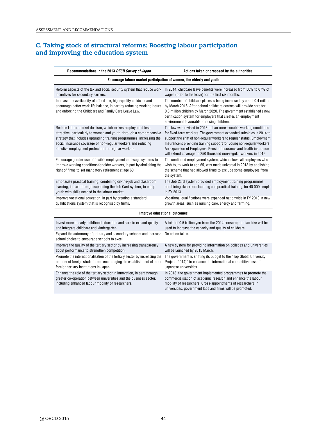#### **C. Taking stock of structural reforms: Boosting labour participation and improving the education system**

| Recommendations in the 2013 OECD Survey of Japan                                                                                                                                                                                                                                                                                   | Actions taken or proposed by the authorities                                                                                                                                                                                                                                                                                                                                                                                                                                                                                               |  |
|------------------------------------------------------------------------------------------------------------------------------------------------------------------------------------------------------------------------------------------------------------------------------------------------------------------------------------|--------------------------------------------------------------------------------------------------------------------------------------------------------------------------------------------------------------------------------------------------------------------------------------------------------------------------------------------------------------------------------------------------------------------------------------------------------------------------------------------------------------------------------------------|--|
| Encourage labour market participation of women, the elderly and youth                                                                                                                                                                                                                                                              |                                                                                                                                                                                                                                                                                                                                                                                                                                                                                                                                            |  |
| incentives for secondary earners.<br>Increase the availability of affordable, high-quality childcare and<br>encourage better work-life balance, in part by reducing working hours<br>and enforcing the Childcare and Family Care Leave Law.                                                                                        | Reform aspects of the tax and social security system that reduce work In 2014, childcare leave benefits were increased from 50% to 67% of<br>wages (prior to the leave) for the first six months.<br>The number of childcare places is being increased by about 0.4 million<br>by March 2018. After-school childcare centres will provide care for<br>0.3 million children by March 2020. The government established a new<br>certification system for employers that creates an employment<br>environment favourable to raising children. |  |
| Reduce labour market dualism, which makes employment less<br>attractive, particularly to women and youth, through a comprehensive<br>strategy that includes upgrading training programmes, increasing the<br>social insurance coverage of non-regular workers and reducing<br>effective employment protection for regular workers. | The law was revised in 2013 to ban unreasonable working conditions<br>for fixed-term workers. The government expanded subsidies in 2014 to<br>support the shift of non-regular workers to regular status. Employment<br>Insurance is providing training support for young non-regular workers.<br>An expansion of Employees' Pension Insurance and health insurance<br>will extend coverage to 250 thousand non-regular workers in 2016.                                                                                                   |  |
| Encourage greater use of flexible employment and wage systems to<br>improve working conditions for older workers, in part by abolishing the<br>right of firms to set mandatory retirement at age 60.                                                                                                                               | The continued employment system, which allows all employees who<br>wish to, to work to age 65, was made universal in 2013 by abolishing<br>the scheme that had allowed firms to exclude some employees from<br>the system.                                                                                                                                                                                                                                                                                                                 |  |
| Emphasise practical training, combining on-the-job and classroom<br>learning, in part through expanding the Job Card system, to equip<br>youth with skills needed in the labour market.                                                                                                                                            | The Job Card system provided employment training programmes,<br>combining classroom learning and practical training, for 40 000 people<br>in FY 2013.                                                                                                                                                                                                                                                                                                                                                                                      |  |
| Improve vocational education, in part by creating a standard<br>qualifications system that is recognised by firms.                                                                                                                                                                                                                 | Vocational qualifications were expanded nationwide in FY 2013 in new<br>growth areas, such as nursing care, energy and farming.                                                                                                                                                                                                                                                                                                                                                                                                            |  |
| <b>Improve educational outcomes</b>                                                                                                                                                                                                                                                                                                |                                                                                                                                                                                                                                                                                                                                                                                                                                                                                                                                            |  |
| Invest more in early childhood education and care to expand quality<br>and integrate childcare and kindergarten.<br>Expand the autonomy of primary and secondary schools and increase                                                                                                                                              | A total of 0.5 trillion yen from the 2014 consumption tax hike will be<br>used to increase the capacity and quality of childcare.<br>No action taken.                                                                                                                                                                                                                                                                                                                                                                                      |  |
| school choice to encourage schools to excel.<br>Improve the quality of the tertiary sector by increasing transparency<br>about performance to strengthen competition.                                                                                                                                                              | A new system for providing information on colleges and universities<br>will be launched by 2015 March.                                                                                                                                                                                                                                                                                                                                                                                                                                     |  |
| Promote the internationalisation of the tertiary sector by increasing the<br>number of foreign students and encouraging the establishment of more<br>foreign tertiary institutions in Japan.                                                                                                                                       | The government is shifting its budget to the "Top Global University<br>Project (2014)" to enhance the international competitiveness of<br>Japanese universities.                                                                                                                                                                                                                                                                                                                                                                           |  |
| Enhance the role of the tertiary sector in innovation, in part through<br>greater co-operation between universities and the business sector,<br>including enhanced labour mobility of researchers.                                                                                                                                 | In 2013, the government implemented programmes to promote the<br>commercialisation of academic research and enhance the labour<br>mobility of researchers. Cross-appointments of researchers in<br>universities, government labs and firms will be promoted.                                                                                                                                                                                                                                                                               |  |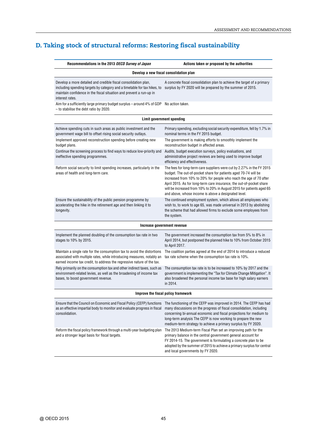### **D. Taking stock of structural reforms: Restoring fiscal sustainability**

| Recommendations in the 2013 OECD Survey of Japan                                                                                                                                                                                         | Actions taken or proposed by the authorities                                                                                                                                                                                                                                                                                                                                                                             |
|------------------------------------------------------------------------------------------------------------------------------------------------------------------------------------------------------------------------------------------|--------------------------------------------------------------------------------------------------------------------------------------------------------------------------------------------------------------------------------------------------------------------------------------------------------------------------------------------------------------------------------------------------------------------------|
|                                                                                                                                                                                                                                          | Develop a new fiscal consolidation plan                                                                                                                                                                                                                                                                                                                                                                                  |
| Develop a more detailed and credible fiscal consolidation plan,<br>including spending targets by category and a timetable for tax hikes, to<br>maintain confidence in the fiscal situation and prevent a run-up in<br>interest rates.    | A concrete fiscal consolidation plan to achieve the target of a primary<br>surplus by FY 2020 will be prepared by the summer of 2015.                                                                                                                                                                                                                                                                                    |
| Aim for a sufficiently large primary budget surplus - around 4% of GDP<br>- to stabilise the debt ratio by 2020.                                                                                                                         | No action taken.                                                                                                                                                                                                                                                                                                                                                                                                         |
|                                                                                                                                                                                                                                          | Limit government spending                                                                                                                                                                                                                                                                                                                                                                                                |
| Achieve spending cuts in such areas as public investment and the<br>government wage bill to offset rising social security outlays.                                                                                                       | Primary spending, excluding social security expenditure, fell by 1.7% in<br>nominal terms in the FY 2015 budget.                                                                                                                                                                                                                                                                                                         |
| Implement approved reconstruction spending before creating new<br>budget plans.                                                                                                                                                          | The government is making efforts to smoothly implement the<br>reconstruction budget in affected areas.                                                                                                                                                                                                                                                                                                                   |
| Continue the screening process to find ways to reduce low-priority and<br>ineffective spending programmes.                                                                                                                               | Audits, budget execution surveys, policy evaluations, and<br>administrative project reviews are being used to improve budget<br>efficiency and effectiveness.                                                                                                                                                                                                                                                            |
| Reform social security to limit spending increases, particularly in the<br>areas of health and long-term care.                                                                                                                           | The fees for long-term care suppliers were cut by 2.27% in the FY 2015<br>budget. The out-of-pocket share for patients aged 70-74 will be<br>increased from 10% to 20% for people who reach the age of 70 after<br>April 2015. As for long-term care insurance, the out-of-pocket share<br>will be increased from 10% to 20% in August 2015 for patients aged 65<br>and above, whose income is above a designated level. |
| Ensure the sustainability of the public pension programme by<br>accelerating the hike in the retirement age and then linking it to<br>longevity.                                                                                         | The continued employment system, which allows all employees who<br>wish to, to work to age 65, was made universal in 2013 by abolishing<br>the scheme that had allowed firms to exclude some employees from<br>the system.                                                                                                                                                                                               |
|                                                                                                                                                                                                                                          | Increase government revenue                                                                                                                                                                                                                                                                                                                                                                                              |
| Implement the planned doubling of the consumption tax rate in two<br>stages to 10% by 2015.                                                                                                                                              | The government increased the consumption tax from 5% to 8% in<br>April 2014, but postponed the planned hike to 10% from October 2015<br>to April 2017.                                                                                                                                                                                                                                                                   |
| Maintain a single rate for the consumption tax to avoid the distortions<br>associated with multiple rates, while introducing measures, notably an<br>earned income tax credit, to address the regressive nature of the tax.              | The coalition parties agreed at the end of 2014 to introduce a reduced<br>tax rate scheme when the consumption tax rate is 10%.                                                                                                                                                                                                                                                                                          |
| Rely primarily on the consumption tax and other indirect taxes, such as<br>environment-related levies, as well as the broadening of income tax<br>bases, to boost government revenue.                                                    | The consumption tax rate is to be increased to 10% by 2017 and the<br>government is implementing the "Tax for Climate Change Mitigation". It<br>also broadened the personal income tax base for high salary earners<br>in 2014.                                                                                                                                                                                          |
|                                                                                                                                                                                                                                          | Improve the fiscal policy framework                                                                                                                                                                                                                                                                                                                                                                                      |
| Ensure that the Council on Economic and Fiscal Policy (CEFP) functions The functioning of the CEFP was improved in 2014. The CEFP has had<br>as an effective impartial body to monitor and evaluate progress in fiscal<br>consolidation. | many discussions on the progress of fiscal consolidation, including<br>concerning bi-annual economic and fiscal projections for medium to<br>long-term analysis The CEFP is now working to prepare the new<br>medium-term strategy to achieve a primary surplus by FY 2020.                                                                                                                                              |
| Reform the fiscal policy framework through a multi-year budgeting plan<br>and a stronger legal basis for fiscal targets.                                                                                                                 | The 2013 Medium-term Fiscal Plan set an improving path for the<br>primary balance in the central government general account for<br>FY 2014-15. The government is formulating a concrete plan to be<br>adopted by the summer of 2015 to achieve a primary surplus for central<br>and local governments by FY 2020.                                                                                                        |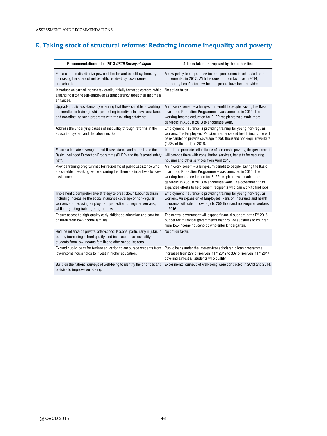### **E. Taking stock of structural reforms: Reducing income inequality and poverty**

| Recommendations in the 2013 OECD Survey of Japan                                                                                                                                                                                                 | Actions taken or proposed by the authorities                                                                                                                                                                                                                                                                                                |
|--------------------------------------------------------------------------------------------------------------------------------------------------------------------------------------------------------------------------------------------------|---------------------------------------------------------------------------------------------------------------------------------------------------------------------------------------------------------------------------------------------------------------------------------------------------------------------------------------------|
| Enhance the redistributive power of the tax and benefit systems by<br>increasing the share of net benefits received by low-income<br>households.                                                                                                 | A new policy to support low-income pensioners is scheduled to be<br>implemented in 2017. With the consumption tax hike in 2014,<br>temporary benefits for low-income people have been provided.                                                                                                                                             |
| Introduce an earned income tax credit, initially for wage earners, while<br>expanding it to the self-employed as transparency about their income is<br>enhanced.                                                                                 | No action taken.                                                                                                                                                                                                                                                                                                                            |
| Upgrade public assistance by ensuring that those capable of working<br>are enrolled in training, while promoting incentives to leave assistance<br>and coordinating such programs with the existing safety net.                                  | An in-work benefit - a lump-sum benefit to people leaving the Basic<br>Livelihood Protection Programme - was launched in 2014. The<br>working-income deduction for BLPP recipients was made more<br>generous in August 2013 to encourage work.                                                                                              |
| Address the underlying causes of inequality through reforms in the<br>education system and the labour market.                                                                                                                                    | Employment Insurance is providing training for young non-regular<br>workers. The Employees' Pension Insurance and health insurance will<br>be expanded to provide coverage to 250 thousand non-regular workers<br>(1.3% of the total) in 2016.                                                                                              |
| Ensure adequate coverage of public assistance and co-ordinate the<br>Basic Livelihood Protection Programme (BLPP) and the "second safety<br>net".                                                                                                | In order to promote self-reliance of persons in poverty, the government<br>will provide them with consultation services, benefits for securing<br>housing and other services from April 2015.                                                                                                                                               |
| Provide training programmes for recipients of public assistance who<br>are capable of working, while ensuring that there are incentives to leave<br>assistance.                                                                                  | An in-work benefit - a lump-sum benefit to people leaving the Basic<br>Livelihood Protection Programme - was launched in 2014. The<br>working-income deduction for BLPP recipients was made more<br>generous in August 2013 to encourage work. The government has<br>expanded efforts to help benefit recipients who can work to find jobs. |
| Implement a comprehensive strategy to break down labour dualism,<br>including increasing the social insurance coverage of non-regular<br>workers and reducing employment protection for regular workers,<br>while upgrading training programmes. | Employment Insurance is providing training for young non-regular<br>workers. An expansion of Employees' Pension Insurance and health<br>insurance will extend coverage to 250 thousand non-regular workers<br>in 2016.                                                                                                                      |
| Ensure access to high-quality early childhood education and care for<br>children from low-income families.                                                                                                                                       | The central government will expand financial support in the FY 2015<br>budget for municipal governments that provide subsidies to children<br>from low-income households who enter kindergarten.                                                                                                                                            |
| Reduce reliance on private, after-school lessons, particularly in juku, in<br>part by increasing school quality, and increase the accessibility of<br>students from low-income families to after-school lessons.                                 | No action taken.                                                                                                                                                                                                                                                                                                                            |
| Expand public loans for tertiary education to encourage students from<br>low-income households to invest in higher education.                                                                                                                    | Public loans under the interest-free scholarship loan programme<br>increased from 277 billion yen in FY 2012 to 307 billion yen in FY 2014,<br>covering almost all students who qualify.                                                                                                                                                    |
| Build on the national surveys of well-being to identify the priorities and<br>policies to improve well-being.                                                                                                                                    | Experimental surveys of well-being were conducted in 2013 and 2014.                                                                                                                                                                                                                                                                         |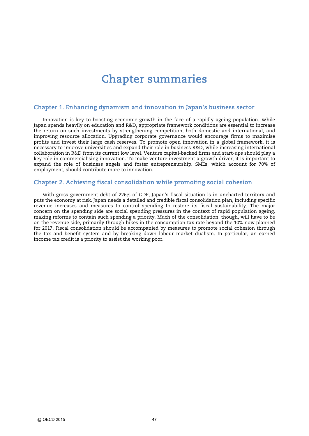### Chapter summaries

#### Chapter 1. Enhancing dynamism and innovation in Japan's business sector

Innovation is key to boosting economic growth in the face of a rapidly ageing population. While Japan spends heavily on education and R&D, appropriate framework conditions are essential to increase the return on such investments by strengthening competition, both domestic and international, and improving resource allocation. Upgrading corporate governance would encourage firms to maximise profits and invest their large cash reserves. To promote open innovation in a global framework, it is necessary to improve universities and expand their role in business R&D, while increasing international collaboration in R&D from its current low level. Venture capital-backed firms and start-ups should play a key role in commercialising innovation. To make venture investment a growth driver, it is important to expand the role of business angels and foster entrepreneurship. SMEs, which account for 70% of employment, should contribute more to innovation.

#### Chapter 2. Achieving fiscal consolidation while promoting social cohesion

With gross government debt of 226% of GDP, Japan's fiscal situation is in uncharted territory and puts the economy at risk. Japan needs a detailed and credible fiscal consolidation plan, including specific revenue increases and measures to control spending to restore its fiscal sustainability. The major concern on the spending side are social spending pressures in the context of rapid population ageing, making reforms to contain such spending a priority. Much of the consolidation, though, will have to be on the revenue side, primarily through hikes in the consumption tax rate beyond the 10% now planned for 2017. Fiscal consolidation should be accompanied by measures to promote social cohesion through the tax and benefit system and by breaking down labour market dualism. In particular, an earned income tax credit is a priority to assist the working poor.